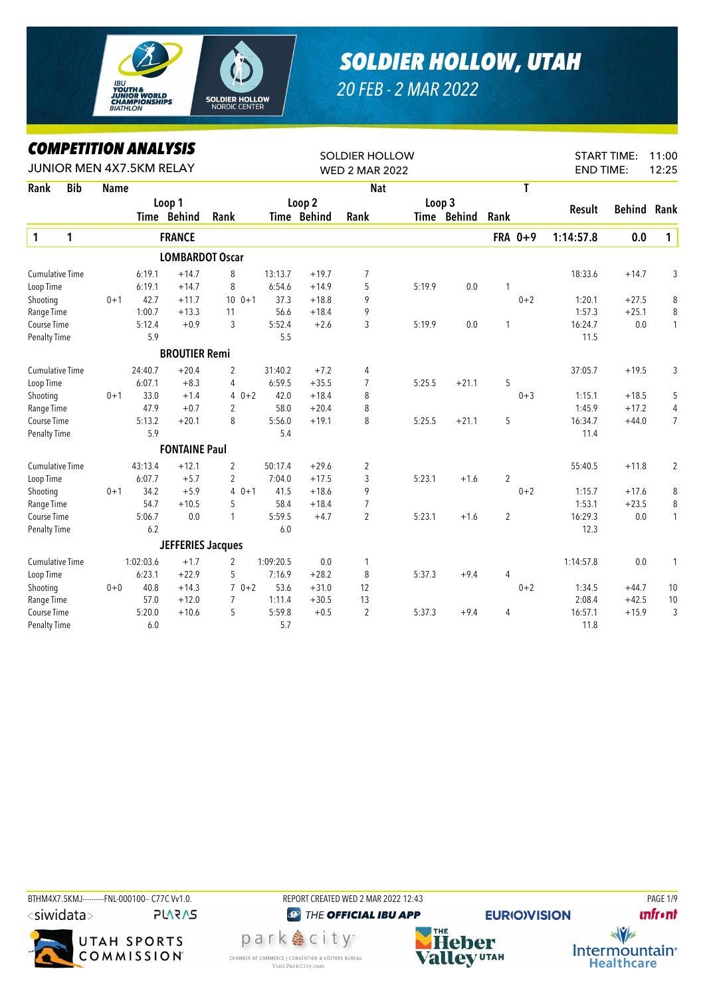

## *SOLDIER HOLLOW, UTAH*

*20 FEB - 2 MAR 2022*

## *COMPETITION ANALYSIS*

|                        | <b><i>COMPEILION ANALYSIS</i></b><br>JUNIOR MEN 4X7.5KM RELAY |             |           |                          |                |           | <b>SOLDIER HOLLOW</b> |                       |        |             |                |         |           | <b>START TIME:</b><br>11:00<br><b>END TIME:</b> |                |  |
|------------------------|---------------------------------------------------------------|-------------|-----------|--------------------------|----------------|-----------|-----------------------|-----------------------|--------|-------------|----------------|---------|-----------|-------------------------------------------------|----------------|--|
|                        |                                                               |             |           |                          |                |           |                       | <b>WED 2 MAR 2022</b> |        |             |                |         |           |                                                 | 12:25          |  |
| Rank                   | <b>Bib</b>                                                    | <b>Name</b> |           |                          |                |           |                       | <b>Nat</b>            |        |             |                | T       |           |                                                 |                |  |
|                        |                                                               |             |           | Loop 1                   |                |           | Loop 2                |                       | Loop 3 |             |                |         | Result    | Behind                                          | Rank           |  |
|                        |                                                               |             |           | Time Behind              | Rank           |           | <b>Time Behind</b>    | Rank                  |        | Time Behind | Rank           |         |           |                                                 |                |  |
| $\mathbf{1}$           | 1                                                             |             |           | <b>FRANCE</b>            |                |           |                       |                       |        |             |                | FRA 0+9 | 1:14:57.8 | 0.0                                             | $\mathbf{1}$   |  |
|                        |                                                               |             |           | <b>LOMBARDOT Oscar</b>   |                |           |                       |                       |        |             |                |         |           |                                                 |                |  |
| <b>Cumulative Time</b> |                                                               |             | 6:19.1    | $+14.7$                  | 8              | 13:13.7   | $+19.7$               | 7                     |        |             |                |         | 18:33.6   | $+14.7$                                         | 3              |  |
| Loop Time              |                                                               |             | 6:19.1    | $+14.7$                  | 8              | 6:54.6    | $+14.9$               | 5                     | 5:19.9 | 0.0         | 1              |         |           |                                                 |                |  |
| Shooting               |                                                               | $0 + 1$     | 42.7      | $+11.7$                  | $100 + 1$      | 37.3      | $+18.8$               | 9                     |        |             |                | $0 + 2$ | 1:20.1    | $+27.5$                                         | 8              |  |
| Range Time             |                                                               |             | 1:00.7    | $+13.3$                  | 11             | 56.6      | $+18.4$               | 9                     |        |             |                |         | 1:57.3    | $+25.1$                                         | 8              |  |
| Course Time            |                                                               |             | 5:12.4    | $+0.9$                   | 3              | 5:52.4    | $+2.6$                | 3                     | 5:19.9 | 0.0         | 1              |         | 16:24.7   | 0.0                                             | $\mathbf{1}$   |  |
| Penalty Time           |                                                               |             | 5.9       |                          |                | 5.5       |                       |                       |        |             |                |         | 11.5      |                                                 |                |  |
|                        |                                                               |             |           | <b>BROUTIER Remi</b>     |                |           |                       |                       |        |             |                |         |           |                                                 |                |  |
| <b>Cumulative Time</b> |                                                               |             | 24:40.7   | $+20.4$                  | $\overline{2}$ | 31:40.2   | $+7.2$                | 4                     |        |             |                |         | 37:05.7   | $+19.5$                                         | 3              |  |
| Loop Time              |                                                               |             | 6:07.1    | $+8.3$                   | 4              | 6:59.5    | $+35.5$               | $\overline{7}$        | 5:25.5 | $+21.1$     | 5              |         |           |                                                 |                |  |
| Shooting               |                                                               | $0 + 1$     | 33.0      | $+1.4$                   | $40+2$         | 42.0      | $+18.4$               | 8                     |        |             |                | $0 + 3$ | 1:15.1    | $+18.5$                                         | 5              |  |
| Range Time             |                                                               |             | 47.9      | $+0.7$                   | 2              | 58.0      | $+20.4$               | 8                     |        |             |                |         | 1:45.9    | $+17.2$                                         | 4              |  |
| Course Time            |                                                               |             | 5:13.2    | $+20.1$                  | 8              | 5:56.0    | $+19.1$               | 8                     | 5:25.5 | $+21.1$     | 5              |         | 16:34.7   | $+44.0$                                         | $\overline{7}$ |  |
| <b>Penalty Time</b>    |                                                               |             | 5.9       |                          |                | 5.4       |                       |                       |        |             |                |         | 11.4      |                                                 |                |  |
|                        |                                                               |             |           | <b>FONTAINE Paul</b>     |                |           |                       |                       |        |             |                |         |           |                                                 |                |  |
| <b>Cumulative Time</b> |                                                               |             | 43:13.4   | $+12.1$                  | $\overline{2}$ | 50:17.4   | $+29.6$               | 2                     |        |             |                |         | 55:40.5   | $+11.8$                                         | 2              |  |
| Loop Time              |                                                               |             | 6:07.7    | $+5.7$                   | $\overline{2}$ | 7:04.0    | $+17.5$               | 3                     | 5:23.1 | $+1.6$      | $\overline{2}$ |         |           |                                                 |                |  |
| Shooting               |                                                               | $0 + 1$     | 34.2      | $+5.9$                   | $40+1$         | 41.5      | $+18.6$               | 9                     |        |             |                | $0 + 2$ | 1:15.7    | $+17.6$                                         | 8              |  |
| Range Time             |                                                               |             | 54.7      | $+10.5$                  | 5              | 58.4      | $+18.4$               | $\overline{7}$        |        |             |                |         | 1:53.1    | $+23.5$                                         | 8              |  |
| Course Time            |                                                               |             | 5:06.7    | 0.0                      | 1              | 5:59.5    | $+4.7$                | $\overline{2}$        | 5:23.1 | $+1.6$      | $\overline{2}$ |         | 16:29.3   | 0.0                                             | $\mathbf{1}$   |  |
| <b>Penalty Time</b>    |                                                               |             | 6.2       |                          |                | 6.0       |                       |                       |        |             |                |         | 12.3      |                                                 |                |  |
|                        |                                                               |             |           | <b>JEFFERIES Jacques</b> |                |           |                       |                       |        |             |                |         |           |                                                 |                |  |
| <b>Cumulative Time</b> |                                                               |             | 1:02:03.6 | $+1.7$                   | 2              | 1:09:20.5 | 0.0                   | 1                     |        |             |                |         | 1:14:57.8 | 0.0                                             | 1              |  |
| Loop Time              |                                                               |             | 6:23.1    | $+22.9$                  | 5              | 7:16.9    | $+28.2$               | 8                     | 5:37.3 | $+9.4$      | 4              |         |           |                                                 |                |  |
| Shooting               |                                                               | $0 + 0$     | 40.8      | $+14.3$                  | $70+2$         | 53.6      | $+31.0$               | 12                    |        |             |                | $0 + 2$ | 1:34.5    | $+44.7$                                         | 10             |  |
| Range Time             |                                                               |             | 57.0      | $+12.0$                  | $\overline{7}$ | 1:11.4    | $+30.5$               | 13                    |        |             |                |         | 2:08.4    | $+42.5$                                         | 10             |  |
| Course Time            |                                                               |             | 5:20.0    | $+10.6$                  | 5              | 5:59.8    | $+0.5$                | $\overline{2}$        | 5:37.3 | $+9.4$      | 4              |         | 16:57.1   | $+15.9$                                         | 3              |  |
| Penalty Time           |                                                               |             | 6.0       |                          |                | 5.7       |                       |                       |        |             |                |         | 11.8      |                                                 |                |  |



Visit Park City.com

**unfront** 

 $\sqrt{v}$ Intermountain<sup>®</sup> **Healthcare**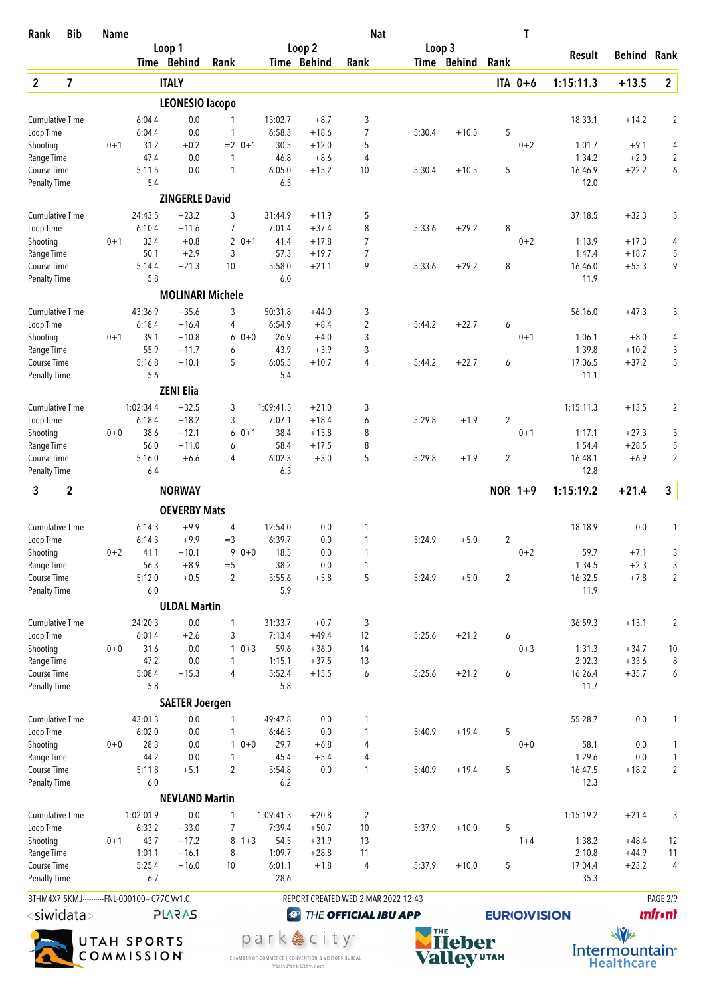| Rank                               | <b>Bib</b>              | <b>Name</b> |                                                |                       |                                |                |                                  | <b>Nat</b>                          |        |              |                     | T       |                  |                    |                |
|------------------------------------|-------------------------|-------------|------------------------------------------------|-----------------------|--------------------------------|----------------|----------------------------------|-------------------------------------|--------|--------------|---------------------|---------|------------------|--------------------|----------------|
|                                    |                         |             |                                                | Loop 1<br>Time Behind | Rank                           |                | Loop <sub>2</sub><br>Time Behind | Rank                                | Loop 3 | Time Behind  | Rank                |         | Result           | <b>Behind Rank</b> |                |
| $\overline{2}$                     | $\overline{\mathbf{z}}$ |             |                                                | <b>ITALY</b>          |                                |                |                                  |                                     |        |              | ITA 0+6             |         | 1:15:11.3        | $+13.5$            | $\overline{2}$ |
|                                    |                         |             |                                                | LEONESIO lacopo       |                                |                |                                  |                                     |        |              |                     |         |                  |                    |                |
| <b>Cumulative Time</b>             |                         |             | 6:04.4                                         | 0.0                   | 1                              | 13:02.7        | $+8.7$                           | 3                                   |        |              |                     |         | 18:33.1          | $+14.2$            | $\overline{2}$ |
| Loop Time                          |                         |             | 6:04.4                                         | 0.0                   | $\mathbf{1}$                   | 6:58.3         | $+18.6$                          | 7                                   | 5:30.4 | $+10.5$      | 5                   |         |                  |                    |                |
| Shooting                           |                         | $0 + 1$     | 31.2                                           | $+0.2$                | $= 2$ 0+1                      | 30.5           | $+12.0$                          | 5                                   |        |              |                     | $0 + 2$ | 1:01.7           | $+9.1$             | 4              |
| Range Time                         |                         |             | 47.4                                           | 0.0                   | $\mathbf{1}$                   | 46.8           | $+8.6$                           | 4                                   |        |              |                     |         | 1:34.2           | $+2.0$             | $\overline{2}$ |
| Course Time<br><b>Penalty Time</b> |                         |             | 5:11.5<br>5.4                                  | 0.0                   | $\mathbf{1}$                   | 6:05.0<br>6.5  | $+15.2$                          | 10                                  | 5:30.4 | $+10.5$      | 5                   |         | 16:46.9<br>12.0  | $+22.2$            | 6              |
|                                    |                         |             |                                                | <b>ZINGERLE David</b> |                                |                |                                  |                                     |        |              |                     |         |                  |                    |                |
| <b>Cumulative Time</b>             |                         |             | 24:43.5                                        | $+23.2$               | 3                              | 31:44.9        | $+11.9$                          | 5                                   |        |              |                     |         | 37:18.5          | $+32.3$            | 5              |
| Loop Time                          |                         |             | 6:10.4                                         | $+11.6$               | $\overline{7}$                 | 7:01.4         | $+37.4$                          | 8                                   | 5:33.6 | $+29.2$      | 8                   |         |                  |                    |                |
| Shooting<br>Range Time             |                         | $0 + 1$     | 32.4<br>50.1                                   | $+0.8$<br>$+2.9$      | $\overline{2}$<br>$0 + 1$<br>3 | 41.4<br>57.3   | $+17.8$<br>$+19.7$               | 7<br>$\overline{7}$                 |        |              |                     | $0 + 2$ | 1:13.9<br>1:47.4 | $+17.3$<br>$+18.7$ | 4<br>5         |
| Course Time                        |                         |             | 5:14.4                                         | $+21.3$               | 10                             | 5:58.0         | $+21.1$                          | 9                                   | 5:33.6 | $+29.2$      | 8                   |         | 16:46.0          | $+55.3$            | 9              |
| <b>Penalty Time</b>                |                         |             | 5.8                                            |                       |                                | 6.0            |                                  |                                     |        |              |                     |         | 11.9             |                    |                |
|                                    |                         |             |                                                |                       | <b>MOLINARI Michele</b>        |                |                                  |                                     |        |              |                     |         |                  |                    |                |
| <b>Cumulative Time</b>             |                         |             | 43:36.9                                        | $+35.6$               | 3                              | 50:31.8        | $+44.0$                          | 3                                   |        |              |                     |         | 56:16.0          | $+47.3$            | 3              |
| Loop Time<br>Shooting              |                         | $0 + 1$     | 6:18.4<br>39.1                                 | $+16.4$<br>$+10.8$    | 4<br>$0 + 0$<br>6              | 6:54.9<br>26.9 | $+8.4$<br>$+4.0$                 | $\overline{2}$<br>3                 | 5:44.2 | $+22.7$      | 6                   | $0 + 1$ | 1:06.1           | $+8.0$             | 4              |
| Range Time                         |                         |             | 55.9                                           | $+11.7$               | 6                              | 43.9           | $+3.9$                           | 3                                   |        |              |                     |         | 1:39.8           | $+10.2$            | 3              |
| Course Time                        |                         |             | 5:16.8                                         | $+10.1$               | 5                              | 6:05.5         | $+10.7$                          | 4                                   | 5:44.2 | $+22.7$      | 6                   |         | 17:06.5          | $+37.2$            | 5              |
| <b>Penalty Time</b>                |                         |             | 5.6                                            |                       |                                | 5.4            |                                  |                                     |        |              |                     |         | 11.1             |                    |                |
|                                    |                         |             |                                                | <b>ZENI Elia</b>      |                                |                |                                  |                                     |        |              |                     |         |                  |                    |                |
| <b>Cumulative Time</b>             |                         |             | 1:02:34.4                                      | $+32.5$               | 3                              | 1:09:41.5      | $+21.0$                          | 3                                   |        |              |                     |         | 1:15:11.3        | $+13.5$            | $\overline{2}$ |
| Loop Time<br>Shooting              |                         | $0 + 0$     | 6:18.4<br>38.6                                 | $+18.2$<br>$+12.1$    | 3<br>6<br>$0 + 1$              | 7:07.1<br>38.4 | $+18.4$<br>$+15.8$               | 6<br>8                              | 5:29.8 | $+1.9$       | $\overline{2}$      | $0 + 1$ | 1:17.1           | $+27.3$            | 5              |
| Range Time                         |                         |             | 56.0                                           | $+11.0$               | 6                              | 58.4           | $+17.5$                          | 8                                   |        |              |                     |         | 1:54.4           | $+28.5$            | 5              |
| Course Time                        |                         |             | 5:16.0                                         | $+6.6$                | 4                              | 6:02.3         | $+3.0$                           | 5                                   | 5:29.8 | $+1.9$       | $\overline{2}$      |         | 16:48.1          | $+6.9$             | $\overline{2}$ |
| <b>Penalty Time</b>                |                         |             | 6.4                                            |                       |                                | 6.3            |                                  |                                     |        |              |                     |         | 12.8             |                    |                |
| 3                                  | $\mathbf{2}$            |             |                                                | <b>NORWAY</b>         |                                |                |                                  |                                     |        |              | NOR 1+9             |         | 1:15:19.2        | $+21.4$            | $\mathbf{3}$   |
|                                    |                         |             |                                                | <b>OEVERBY Mats</b>   |                                |                |                                  |                                     |        |              |                     |         |                  |                    |                |
| <b>Cumulative Time</b>             |                         |             | 6:14.3                                         | $+9.9$                | $\overline{4}$                 | 12:54.0        | 0.0                              | 1                                   |        |              |                     |         | 18:18.9          | 0.0                | 1              |
| Loop Time<br>Shooting              |                         | $0 + 2$     | 6:14.3<br>41.1                                 | $+9.9$<br>$+10.1$     | $=$ 3<br>9<br>$0 + 0$          | 6:39.7<br>18.5 | 0.0<br>$0.0\,$                   | 1<br>1                              | 5:24.9 | $+5.0$       | $\overline{c}$      | $0 + 2$ | 59.7             | $+7.1$             | 3              |
| Range Time                         |                         |             | 56.3                                           | $+8.9$                | $=$ 5                          | 38.2           | 0.0                              | 1                                   |        |              |                     |         | 1:34.5           | $+2.3$             | 3              |
| Course Time                        |                         |             | 5:12.0                                         | $+0.5$                | $\overline{2}$                 | 5:55.6         | $+5.8$                           | 5                                   | 5:24.9 | $+5.0$       | $\overline{c}$      |         | 16:32.5          | $+7.8$             | $\sqrt{2}$     |
| <b>Penalty Time</b>                |                         |             | 6.0                                            |                       |                                | 5.9            |                                  |                                     |        |              |                     |         | 11.9             |                    |                |
|                                    |                         |             |                                                | <b>ULDAL Martin</b>   |                                |                |                                  |                                     |        |              |                     |         |                  |                    |                |
| <b>Cumulative Time</b>             |                         |             | 24:20.3                                        | 0.0                   | $\mathbf{1}$                   | 31:33.7        | $+0.7$                           | 3                                   |        |              |                     |         | 36:59.3          | $+13.1$            | $\overline{2}$ |
| Loop Time<br>Shooting              |                         | $0 + 0$     | 6:01.4<br>31.6                                 | $+2.6$<br>0.0         | 3<br>$\mathbf{1}$<br>$0 + 3$   | 7:13.4<br>59.6 | $+49.4$<br>$+36.0$               | 12<br>14                            | 5:25.6 | $+21.2$      | 6                   | $0 + 3$ | 1:31.3           | $+34.7$            | 10             |
| Range Time                         |                         |             | 47.2                                           | 0.0                   | $\mathbf{1}$                   | 1:15.1         | $+37.5$                          | 13                                  |        |              |                     |         | 2:02.3           | $+33.6$            | 8              |
| Course Time                        |                         |             | 5:08.4                                         | $+15.3$               | $\overline{4}$                 | 5:52.4         | $+15.5$                          | 6                                   | 5:25.6 | $+21.2$      | 6                   |         | 16:26.4          | $+35.7$            | 6              |
| <b>Penalty Time</b>                |                         |             | 5.8                                            |                       |                                | 5.8            |                                  |                                     |        |              |                     |         | 11.7             |                    |                |
|                                    |                         |             |                                                | <b>SAETER Joergen</b> |                                |                |                                  |                                     |        |              |                     |         |                  |                    |                |
| <b>Cumulative Time</b>             |                         |             | 43:01.3                                        | $0.0\,$               | 1                              | 49:47.8        | $0.0\,$                          | 1                                   |        |              |                     |         | 55:28.7          | 0.0                | 1              |
| Loop Time<br>Shooting              |                         | $0+0$       | 6:02.0<br>28.3                                 | 0.0<br>0.0            | 1<br>1<br>$0 + 0$              | 6:46.5<br>29.7 | 0.0<br>$+6.8$                    | 1<br>4                              | 5:40.9 | $+19.4$      | 5                   | $0 + 0$ | 58.1             | 0.0                | 1              |
| Range Time                         |                         |             | 44.2                                           | 0.0                   | $\mathbf{1}$                   | 45.4           | $+5.4$                           | 4                                   |        |              |                     |         | 1:29.6           | 0.0                | $\mathbf{1}$   |
| Course Time                        |                         |             | 5:11.8                                         | $+5.1$                | $\overline{2}$                 | 5:54.8         | 0.0                              | 1                                   | 5:40.9 | $+19.4$      | 5                   |         | 16:47.5          | $+18.2$            | $\overline{2}$ |
| <b>Penalty Time</b>                |                         |             | 6.0                                            |                       |                                | 6.2            |                                  |                                     |        |              |                     |         | 12.3             |                    |                |
|                                    |                         |             |                                                | <b>NEVLAND Martin</b> |                                |                |                                  |                                     |        |              |                     |         |                  |                    |                |
| <b>Cumulative Time</b>             |                         |             | 1:02:01.9                                      | 0.0                   | 1                              | 1:09:41.3      | $+20.8$                          | 2                                   |        |              |                     |         | 1:15:19.2        | $+21.4$            | 3              |
| Loop Time<br>Shooting              |                         | $0 + 1$     | 6:33.2<br>43.7                                 | $+33.0$<br>$+17.2$    | $\overline{7}$<br>$8 + 3$      | 7:39.4<br>54.5 | $+50.7$<br>$+31.9$               | $10$<br>13                          | 5:37.9 | $+10.0$      | 5                   | $1 + 4$ | 1:38.2           | $+48.4$            | 12             |
| Range Time                         |                         |             | 1:01.1                                         | $+16.1$               | 8                              | 1:09.7         | $+28.8$                          | 11                                  |        |              |                     |         | 2:10.8           | $+44.9$            | 11             |
| Course Time                        |                         |             | 5:25.4                                         | $+16.0$               | 10                             | 6:01.1         | $+1.8$                           | 4                                   | 5:37.9 | $+10.0$      | 5                   |         | 17:04.4          | $+23.2$            | $\overline{4}$ |
| <b>Penalty Time</b>                |                         |             | 6.7                                            |                       |                                | 28.6           |                                  |                                     |        |              |                     |         | 35.3             |                    |                |
|                                    |                         |             | BTHM4X7.5KMJ----------FNL-000100-- C77C Vv1.0. |                       |                                |                |                                  | REPORT CREATED WED 2 MAR 2022 12:43 |        |              |                     |         |                  |                    | PAGE 2/9       |
| $<$ siwidata $>$                   |                         |             |                                                | <b>PLARAS</b>         |                                | $\bigcirc$     |                                  | THE OFFICIAL IBU APP                |        |              | <b>EURIO)VISION</b> |         |                  |                    | <b>unfront</b> |
|                                    |                         |             | UTAH SPORTS                                    |                       |                                |                | park  e city <sup>-</sup>        |                                     |        | <b>Heher</b> |                     |         |                  | $\sqrt{v}$         |                |



CHAMBER OF COMMERCE | CONVENTION & VISITORS BUREAU<br>Visit Park City.com



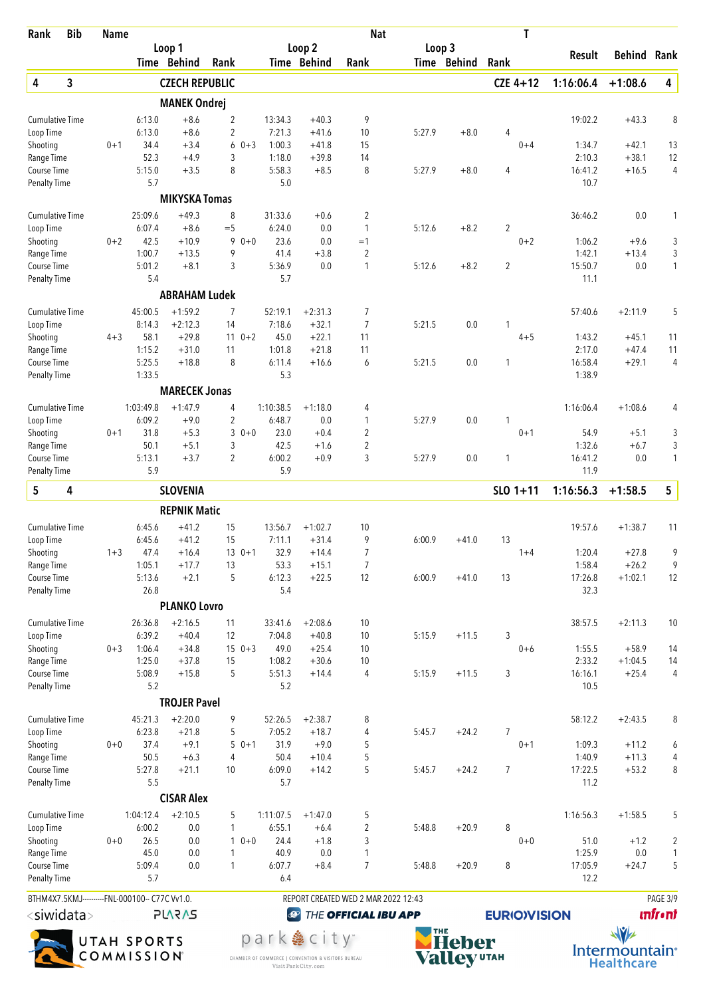| <b>Bib</b><br>Rank                                                  | <b>Name</b> |                     |                       |                     |         |                     |                      | <b>Nat</b>                          |        |             | Τ                  |                   |                    |                     |
|---------------------------------------------------------------------|-------------|---------------------|-----------------------|---------------------|---------|---------------------|----------------------|-------------------------------------|--------|-------------|--------------------|-------------------|--------------------|---------------------|
|                                                                     |             |                     | Loop 1                |                     |         |                     | Loop <sub>2</sub>    |                                     | Loop 3 |             |                    | Result            | <b>Behind Rank</b> |                     |
|                                                                     |             |                     | Time Behind           | Rank                |         |                     | Time Behind          | Rank                                |        | Time Behind | Rank               |                   |                    |                     |
| 3<br>4                                                              |             |                     | <b>CZECH REPUBLIC</b> |                     |         |                     |                      |                                     |        |             | $CZE 4+12$         | 1:16:06.4         | $+1:08.6$          | 4                   |
|                                                                     |             |                     | <b>MANEK Ondrej</b>   |                     |         |                     |                      |                                     |        |             |                    |                   |                    |                     |
| <b>Cumulative Time</b>                                              |             | 6:13.0              | $+8.6$                | 2                   |         | 13:34.3             | $+40.3$              | 9                                   |        |             |                    | 19:02.2           | $+43.3$            | 8                   |
| Loop Time<br>Shooting                                               | $0 + 1$     | 6:13.0<br>34.4      | $+8.6$<br>$+3.4$      | $\overline{c}$<br>6 | $0 + 3$ | 7:21.3<br>1:00.3    | $+41.6$<br>$+41.8$   | 10<br>15                            | 5:27.9 | $+8.0$      | 4<br>$0 + 4$       | 1:34.7            | $+42.1$            | 13                  |
| Range Time                                                          |             | 52.3                | $+4.9$                | 3                   |         | 1:18.0              | $+39.8$              | 14                                  |        |             |                    | 2:10.3            | $+38.1$            | 12                  |
| Course Time                                                         |             | 5:15.0              | $+3.5$                | 8                   |         | 5:58.3              | $+8.5$               | 8                                   | 5:27.9 | $+8.0$      | 4                  | 16:41.2           | $+16.5$            | $\overline{4}$      |
| Penalty Time                                                        |             | 5.7                 |                       |                     |         | 5.0                 |                      |                                     |        |             |                    | 10.7              |                    |                     |
|                                                                     |             |                     | <b>MIKYSKA Tomas</b>  |                     |         |                     |                      |                                     |        |             |                    |                   |                    |                     |
| <b>Cumulative Time</b>                                              |             | 25:09.6             | $+49.3$               | 8                   |         | 31:33.6             | $+0.6$               | $\overline{2}$                      |        |             |                    | 36:46.2           | 0.0                | 1                   |
| Loop Time                                                           |             | 6:07.4              | $+8.6$                | $=$ 5               |         | 6:24.0              | 0.0                  | 1                                   | 5:12.6 | $+8.2$      | 2                  |                   |                    |                     |
| Shooting<br>Range Time                                              | $0 + 2$     | 42.5<br>1:00.7      | $+10.9$<br>$+13.5$    | 9<br>9              | $0 + 0$ | 23.6<br>41.4        | 0.0<br>$+3.8$        | $=1$<br>$\overline{2}$              |        |             | $0 + 2$            | 1:06.2<br>1:42.1  | $+9.6$<br>$+13.4$  | 3<br>3              |
| Course Time                                                         |             | 5:01.2              | $+8.1$                | 3                   |         | 5:36.9              | 0.0                  | 1                                   | 5:12.6 | $+8.2$      | $\overline{2}$     | 15:50.7           | 0.0                | $\mathbf{1}$        |
| <b>Penalty Time</b>                                                 |             | 5.4                 |                       |                     |         | 5.7                 |                      |                                     |        |             |                    | 11.1              |                    |                     |
|                                                                     |             |                     | <b>ABRAHAM Ludek</b>  |                     |         |                     |                      |                                     |        |             |                    |                   |                    |                     |
| <b>Cumulative Time</b>                                              |             | 45:00.5             | $+1:59.2$             | 7                   |         | 52:19.1             | $+2:31.3$            | 7                                   |        |             |                    | 57:40.6           | $+2:11.9$          | 5                   |
| Loop Time                                                           |             | 8:14.3              | $+2:12.3$             | 14                  |         | 7:18.6              | $+32.1$              | $\overline{7}$                      | 5:21.5 | 0.0         | 1                  |                   |                    |                     |
| Shooting                                                            | $4 + 3$     | 58.1                | $+29.8$               |                     | $110+2$ | 45.0                | $+22.1$              | 11                                  |        |             | $4 + 5$            | 1:43.2            | $+45.1$            | 11                  |
| Range Time                                                          |             | 1:15.2              | $+31.0$               | 11                  |         | 1:01.8              | $+21.8$              | 11                                  |        |             |                    | 2:17.0            | $+47.4$            | 11                  |
| Course Time                                                         |             | 5:25.5<br>1:33.5    | $+18.8$               | 8                   |         | 6:11.4<br>5.3       | $+16.6$              | 6                                   | 5:21.5 | 0.0         | 1                  | 16:58.4<br>1:38.9 | $+29.1$            | $\overline{4}$      |
| <b>Penalty Time</b>                                                 |             |                     |                       |                     |         |                     |                      |                                     |        |             |                    |                   |                    |                     |
|                                                                     |             |                     | <b>MARECEK Jonas</b>  |                     |         |                     |                      |                                     |        |             |                    |                   |                    |                     |
| Cumulative Time                                                     |             | 1:03:49.8<br>6:09.2 | $+1:47.9$<br>$+9.0$   | 4<br>$\overline{c}$ |         | 1:10:38.5<br>6:48.7 | $+1:18.0$<br>0.0     | 4<br>1                              | 5:27.9 | 0.0         | 1                  | 1:16:06.4         | $+1:08.6$          | 4                   |
| Loop Time<br>Shooting                                               | $0 + 1$     | 31.8                | $+5.3$                | 3                   | $0 + 0$ | 23.0                | $+0.4$               | 2                                   |        |             | $0 + 1$            | 54.9              | $+5.1$             | 3                   |
| Range Time                                                          |             | 50.1                | $+5.1$                | 3                   |         | 42.5                | $+1.6$               | $\overline{2}$                      |        |             |                    | 1:32.6            | $+6.7$             | 3                   |
| Course Time                                                         |             | 5:13.1              | $+3.7$                | $\overline{2}$      |         | 6:00.2              | $+0.9$               | 3                                   | 5:27.9 | 0.0         | 1                  | 16:41.2           | 0.0                | $\mathbf{1}$        |
| <b>Penalty Time</b>                                                 |             | 5.9                 |                       |                     |         | 5.9                 |                      |                                     |        |             |                    | 11.9              |                    |                     |
| 5<br>4                                                              |             |                     | <b>SLOVENIA</b>       |                     |         |                     |                      |                                     |        |             | $SLO$ 1+11         | 1:16:56.3         | $+1:58.5$          | 5                   |
|                                                                     |             |                     | <b>REPNIK Matic</b>   |                     |         |                     |                      |                                     |        |             |                    |                   |                    |                     |
| <b>Cumulative Time</b>                                              |             | 6:45.6              | $+41.2$               | 15                  |         | 13:56.7             | $+1:02.7$            | 10                                  |        |             |                    | 19:57.6           | $+1:38.7$          | 11                  |
| Loop Time                                                           |             | 6:45.6              | $+41.2$               | 15                  |         | 7:11.1              | $+31.4$              | 9                                   | 6:00.9 | $+41.0$     | 13                 |                   |                    |                     |
| Shooting                                                            | $1 + 3$     | 47.4                | $+16.4$               |                     | $130+1$ | 32.9                | $+14.4$              | 7                                   |        |             | $1+4$              | 1:20.4            | $+27.8$            | 9                   |
| Range Time                                                          |             | 1:05.1              | $+17.7$<br>$+2.1$     | 13<br>5             |         | 53.3                | $+15.1$              | $\overline{7}$<br>12                |        |             | 13                 | 1:58.4            | $+26.2$            | 9                   |
| Course Time<br><b>Penalty Time</b>                                  |             | 5:13.6<br>26.8      |                       |                     |         | 6:12.3<br>5.4       | $+22.5$              |                                     | 6:00.9 | $+41.0$     |                    | 17:26.8<br>32.3   | $+1:02.1$          | 12                  |
|                                                                     |             |                     | <b>PLANKO Lovro</b>   |                     |         |                     |                      |                                     |        |             |                    |                   |                    |                     |
| <b>Cumulative Time</b>                                              |             | 26:36.8             | $+2:16.5$             | 11                  |         | 33:41.6             | $+2:08.6$            | 10                                  |        |             |                    | 38:57.5           | $+2:11.3$          | 10                  |
| Loop Time                                                           |             | 6:39.2              | $+40.4$               | 12                  |         | 7:04.8              | $+40.8$              | 10                                  | 5:15.9 | $+11.5$     | 3                  |                   |                    |                     |
| Shooting                                                            | $0 + 3$     | 1:06.4              | $+34.8$               |                     | $150+3$ | 49.0                | $+25.4$              | 10                                  |        |             | $0 + 6$            | 1:55.5            | $+58.9$            | 14                  |
| Range Time                                                          |             | 1:25.0              | $+37.8$               | 15                  |         | 1:08.2              | $+30.6$              | 10                                  |        |             |                    | 2:33.2            | $+1:04.5$          | 14                  |
| Course Time                                                         |             | 5:08.9              | $+15.8$               | 5                   |         | 5:51.3              | $+14.4$              | 4                                   | 5:15.9 | $+11.5$     | 3                  | 16:16.1           | $+25.4$            | $\overline{4}$      |
| <b>Penalty Time</b>                                                 |             | 5.2                 | <b>TROJER Pavel</b>   |                     |         | 5.2                 |                      |                                     |        |             |                    | 10.5              |                    |                     |
|                                                                     |             |                     |                       |                     |         |                     |                      |                                     |        |             |                    |                   |                    |                     |
| <b>Cumulative Time</b><br>Loop Time                                 |             | 45:21.3<br>6:23.8   | $+2:20.0$<br>$+21.8$  | 9<br>5              |         | 52:26.5<br>7:05.2   | $+2:38.7$<br>$+18.7$ | 8<br>4                              | 5:45.7 | $+24.2$     | 7                  | 58:12.2           | $+2:43.5$          | 8                   |
| Shooting                                                            | $0 + 0$     | 37.4                | $+9.1$                |                     | $50+1$  | 31.9                | $+9.0$               | 5                                   |        |             | $0 + 1$            | 1:09.3            | $+11.2$            | 6                   |
| Range Time                                                          |             | 50.5                | $+6.3$                | $\overline{4}$      |         | 50.4                | $+10.4$              | 5                                   |        |             |                    | 1:40.9            | $+11.3$            | 4                   |
| Course Time                                                         |             | 5:27.8              | $+21.1$               | 10                  |         | 6:09.0              | $+14.2$              | 5                                   | 5:45.7 | $+24.2$     | 7                  | 17:22.5           | $+53.2$            | 8                   |
| <b>Penalty Time</b>                                                 |             | 5.5                 |                       |                     |         | 5.7                 |                      |                                     |        |             |                    | 11.2              |                    |                     |
|                                                                     |             |                     | <b>CISAR Alex</b>     |                     |         |                     |                      |                                     |        |             |                    |                   |                    |                     |
| <b>Cumulative Time</b>                                              |             | 1:04:12.4           | $+2:10.5$             | 5                   |         | 1:11:07.5           | $+1:47.0$            | 5                                   |        |             |                    | 1:16:56.3         | $+1:58.5$          | 5                   |
| Loop Time                                                           |             | 6:00.2              | 0.0                   | 1                   |         | 6:55.1              | $+6.4$               | $\overline{2}$                      | 5:48.8 | $+20.9$     | 8                  |                   |                    |                     |
| Shooting<br>Range Time                                              | $0+0$       | 26.5<br>45.0        | 0.0<br>0.0            | 1                   | $10+0$  | 24.4<br>40.9        | $+1.8$<br>0.0        | 3<br>1                              |        |             | $0 + 0$            | 51.0<br>1:25.9    | $+1.2$<br>$0.0\,$  | $\overline{c}$<br>1 |
| Course Time                                                         |             | 5:09.4              | 0.0                   | 1                   |         | 6:07.7              | $+8.4$               | $\overline{7}$                      | 5:48.8 | $+20.9$     | 8                  | 17:05.9           | $+24.7$            | 5                   |
| <b>Penalty Time</b>                                                 |             | 5.7                 |                       |                     |         | 6.4                 |                      |                                     |        |             |                    | 12.2              |                    |                     |
| BTHM4X7.5KMJ----------FNL-000100-- C77C Vv1.0.                      |             |                     |                       |                     |         |                     |                      | REPORT CREATED WED 2 MAR 2022 12:43 |        |             |                    |                   |                    | PAGE 3/9            |
| $\scriptstyle\mathsf{\lesssim}$ siwidata $\scriptstyle\mathsf{\ge}$ |             |                     | <b>SVSV75</b>         |                     |         | $\bigcirc$          |                      | THE OFFICIAL IBU APP                |        |             | <b>EURIOVISION</b> |                   |                    | <b>unfront</b>      |
|                                                                     |             |                     |                       |                     |         |                     |                      |                                     |        |             |                    |                   |                    |                     |



park & city" CHAMBER OF COMMERCE | CONVENTION & VISITORS BUREAU<br>Visit Park City.com



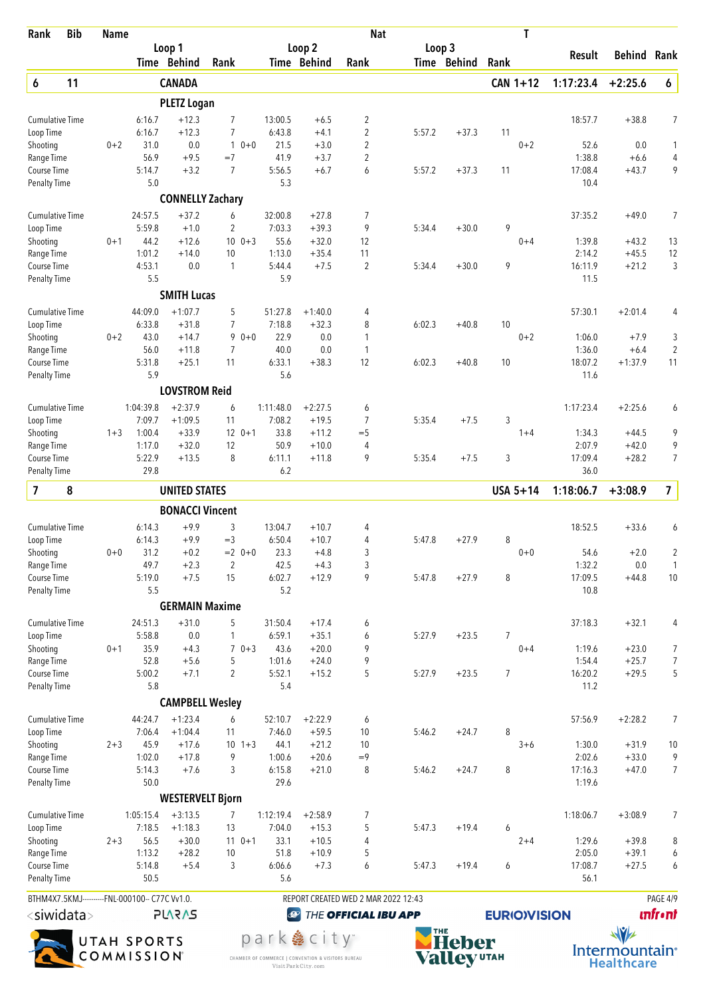| Rank                                      | <b>Bib</b> | <b>Name</b> |                                                |                                  |                         |                   |                           | <b>Nat</b>                          |        |             | T                   |                 |                    |                          |
|-------------------------------------------|------------|-------------|------------------------------------------------|----------------------------------|-------------------------|-------------------|---------------------------|-------------------------------------|--------|-------------|---------------------|-----------------|--------------------|--------------------------|
|                                           |            |             |                                                | Loop 1                           |                         |                   | Loop <sub>2</sub>         |                                     | Loop 3 |             |                     | Result          | <b>Behind Rank</b> |                          |
|                                           |            |             |                                                | Time Behind                      | Rank                    |                   | Time Behind               | Rank                                |        | Time Behind | Rank                |                 |                    |                          |
| 6                                         | 11         |             |                                                | <b>CANADA</b>                    |                         |                   |                           |                                     |        |             | $CAN 1+12$          | 1:17:23.4       | $+2:25.6$          | 6                        |
|                                           |            |             |                                                | <b>PLETZ Logan</b>               |                         |                   |                           |                                     |        |             |                     |                 |                    |                          |
| <b>Cumulative Time</b><br>Loop Time       |            |             | 6:16.7<br>6:16.7                               | $+12.3$<br>$+12.3$               | $\overline{7}$<br>7     | 13:00.5<br>6:43.8 | $+6.5$<br>$+4.1$          | $\overline{2}$<br>$\overline{2}$    | 5:57.2 | $+37.3$     | 11                  | 18:57.7         | $+38.8$            | 7                        |
| Shooting                                  |            | $0 + 2$     | 31.0                                           | 0.0                              | $\mathbf{1}$<br>$0 + 0$ | 21.5              | $+3.0$                    | $\overline{2}$                      |        |             | $0 + 2$             | 52.6            | 0.0                | 1                        |
| Range Time                                |            |             | 56.9                                           | $+9.5$                           | $=7$                    | 41.9              | $+3.7$                    | $\overline{2}$                      |        |             |                     | 1:38.8          | $+6.6$             | $\overline{\mathcal{L}}$ |
| Course Time                               |            |             | 5:14.7                                         | $+3.2$                           | 7                       | 5:56.5<br>5.3     | $+6.7$                    | 6                                   | 5:57.2 | $+37.3$     | 11                  | 17:08.4         | $+43.7$            | 9                        |
| <b>Penalty Time</b>                       |            |             | 5.0                                            | <b>CONNELLY Zachary</b>          |                         |                   |                           |                                     |        |             |                     | 10.4            |                    |                          |
| <b>Cumulative Time</b>                    |            |             | 24:57.5                                        | $+37.2$                          | 6                       | 32:00.8           | $+27.8$                   | 7                                   |        |             |                     | 37:35.2         | $+49.0$            | $\overline{7}$           |
| Loop Time                                 |            |             | 5:59.8                                         | $+1.0$                           | 2                       | 7:03.3            | $+39.3$                   | 9                                   | 5:34.4 | $+30.0$     | 9                   |                 |                    |                          |
| Shooting                                  |            | $0 + 1$     | 44.2                                           | $+12.6$                          | $10 \t 0+3$             | 55.6              | $+32.0$                   | 12                                  |        |             | $0 + 4$             | 1:39.8          | $+43.2$            | 13                       |
| Range Time                                |            |             | 1:01.2                                         | $+14.0$                          | 10                      | 1:13.0            | $+35.4$                   | 11                                  |        |             |                     | 2:14.2          | $+45.5$            | 12                       |
| <b>Course Time</b><br><b>Penalty Time</b> |            |             | 4:53.1<br>5.5                                  | 0.0                              | $\mathbf{1}$            | 5:44.4<br>5.9     | $+7.5$                    | $\overline{2}$                      | 5:34.4 | $+30.0$     | 9                   | 16:11.9<br>11.5 | $+21.2$            | 3                        |
|                                           |            |             |                                                | <b>SMITH Lucas</b>               |                         |                   |                           |                                     |        |             |                     |                 |                    |                          |
| <b>Cumulative Time</b>                    |            |             | 44:09.0                                        | $+1:07.7$                        | 5                       | 51:27.8           | $+1:40.0$                 | 4                                   |        |             |                     | 57:30.1         | $+2:01.4$          | 4                        |
| Loop Time                                 |            |             | 6:33.8                                         | $+31.8$                          | 7                       | 7:18.8            | $+32.3$                   | 8                                   | 6:02.3 | $+40.8$     | 10                  |                 |                    |                          |
| Shooting                                  |            | $0 + 2$     | 43.0                                           | $+14.7$                          | $90+0$                  | 22.9              | 0.0                       | 1                                   |        |             | $0 + 2$             | 1:06.0          | $+7.9$             | 3                        |
| Range Time                                |            |             | 56.0                                           | $+11.8$                          | $\overline{7}$          | 40.0              | 0.0                       | 1                                   |        |             |                     | 1:36.0          | $+6.4$             | $\overline{2}$           |
| <b>Course Time</b>                        |            |             | 5:31.8<br>5.9                                  | $+25.1$                          | 11                      | 6:33.1<br>5.6     | $+38.3$                   | 12                                  | 6:02.3 | $+40.8$     | 10                  | 18:07.2         | $+1:37.9$          | 11                       |
| <b>Penalty Time</b>                       |            |             |                                                | <b>LOVSTROM Reid</b>             |                         |                   |                           |                                     |        |             |                     | 11.6            |                    |                          |
| <b>Cumulative Time</b>                    |            |             | 1:04:39.8                                      | $+2:37.9$                        | 6                       | 1:11:48.0         | $+2:27.5$                 | 6                                   |        |             |                     | 1:17:23.4       | $+2:25.6$          | 6                        |
| Loop Time                                 |            |             | 7:09.7                                         | $+1:09.5$                        | 11                      | 7:08.2            | $+19.5$                   | $\overline{7}$                      | 5:35.4 | $+7.5$      | 3                   |                 |                    |                          |
| Shooting                                  |            | $1 + 3$     | 1:00.4                                         | $+33.9$                          | $12 \t 0+1$             | 33.8              | $+11.2$                   | $=$ 5                               |        |             | $1 + 4$             | 1:34.3          | $+44.5$            | 9                        |
| Range Time                                |            |             | 1:17.0                                         | $+32.0$                          | 12                      | 50.9              | $+10.0$                   | 4                                   |        |             |                     | 2:07.9          | $+42.0$            | 9                        |
| Course Time<br><b>Penalty Time</b>        |            |             | 5:22.9<br>29.8                                 | $+13.5$                          | 8                       | 6:11.1<br>6.2     | $+11.8$                   | 9                                   | 5:35.4 | $+7.5$      | 3                   | 17:09.4<br>36.0 | $+28.2$            | $\overline{7}$           |
|                                           |            |             |                                                |                                  |                         |                   |                           |                                     |        |             |                     |                 |                    |                          |
| $\overline{\mathbf{z}}$                   | 8          |             |                                                | <b>UNITED STATES</b>             |                         |                   |                           |                                     |        |             | USA 5+14            | 1:18:06.7       | $+3:08.9$          | $\overline{\mathbf{z}}$  |
| <b>Cumulative Time</b>                    |            |             | 6:14.3                                         | <b>BONACCI Vincent</b><br>$+9.9$ | 3                       | 13:04.7           | $+10.7$                   | 4                                   |        |             |                     | 18:52.5         | $+33.6$            | 6                        |
| Loop Time                                 |            |             | 6:14.3                                         | $+9.9$                           | $=$ 3                   | 6:50.4            | $+10.7$                   | 4                                   | 5:47.8 | $+27.9$     | 8                   |                 |                    |                          |
| Shooting                                  |            | $0+0$       | 31.2                                           | $+0.2$                           | $= 2$ 0+0               | 23.3              | $+4.8$                    | 3                                   |        |             | $0+0$               | 54.6            | $+2.0$             | $\overline{2}$           |
| Range Time                                |            |             | 49.7                                           | $+2.3$                           | $\overline{2}$          | 42.5              | $+4.3$                    | 3                                   |        |             |                     | 1:32.2          | 0.0                | 1                        |
| Course Time                               |            |             | 5:19.0                                         | $+7.5$                           | 15                      | 6:02.7            | $+12.9$                   | 9                                   | 5:47.8 | $+27.9$     | 8                   | 17:09.5         | $+44.8$            | $10$                     |
| <b>Penalty Time</b>                       |            |             | 5.5                                            |                                  |                         | 5.2               |                           |                                     |        |             |                     | 10.8            |                    |                          |
|                                           |            |             |                                                | <b>GERMAIN Maxime</b>            |                         |                   |                           |                                     |        |             |                     |                 |                    |                          |
| <b>Cumulative Time</b><br>Loop Time       |            |             | 24:51.3<br>5:58.8                              | $+31.0$<br>0.0                   | 5<br>1                  | 31:50.4<br>6:59.1 | $+17.4$<br>$+35.1$        | 6<br>6                              | 5:27.9 | $+23.5$     | 7                   | 37:18.3         | $+32.1$            | 4                        |
| Shooting                                  |            | $0 + 1$     | 35.9                                           | $+4.3$                           | $70+3$                  | 43.6              | $+20.0$                   | 9                                   |        |             | $0 + 4$             | 1:19.6          | $+23.0$            | 7                        |
| Range Time                                |            |             | 52.8                                           | $+5.6$                           | 5                       | 1:01.6            | $+24.0$                   | 9                                   |        |             |                     | 1:54.4          | $+25.7$            | $\overline{7}$           |
| Course Time                               |            |             | 5:00.2                                         | $+7.1$                           | 2                       | 5:52.1            | $+15.2$                   | 5                                   | 5:27.9 | $+23.5$     | $\overline{7}$      | 16:20.2         | $+29.5$            | 5                        |
| <b>Penalty Time</b>                       |            |             | 5.8                                            |                                  |                         | 5.4               |                           |                                     |        |             |                     | 11.2            |                    |                          |
|                                           |            |             |                                                | <b>CAMPBELL Wesley</b>           |                         |                   |                           |                                     |        |             |                     |                 |                    |                          |
| <b>Cumulative Time</b>                    |            |             | 44:24.7                                        | $+1:23.4$<br>$+1:04.4$           | 6                       | 52:10.7           | $+2:22.9$                 | 6                                   |        | $+24.7$     |                     | 57:56.9         | $+2:28.2$          | 7                        |
| Loop Time<br>Shooting                     |            | $2 + 3$     | 7:06.4<br>45.9                                 | $+17.6$                          | 11<br>$10 \t1+3$        | 7:46.0<br>44.1    | $+59.5$<br>$+21.2$        | 10<br>10                            | 5:46.2 |             | 8<br>$3 + 6$        | 1:30.0          | $+31.9$            | 10                       |
| Range Time                                |            |             | 1:02.0                                         | $+17.8$                          | 9                       | 1:00.6            | $+20.6$                   | $=9$                                |        |             |                     | 2:02.6          | $+33.0$            | 9                        |
| Course Time                               |            |             | 5:14.3                                         | $+7.6$                           | 3                       | 6:15.8            | $+21.0$                   | 8                                   | 5:46.2 | $+24.7$     | 8                   | 17:16.3         | $+47.0$            | $\overline{7}$           |
| <b>Penalty Time</b>                       |            |             | 50.0                                           |                                  |                         | 29.6              |                           |                                     |        |             |                     | 1:19.6          |                    |                          |
|                                           |            |             |                                                | <b>WESTERVELT Bjorn</b>          |                         |                   |                           |                                     |        |             |                     |                 |                    |                          |
| <b>Cumulative Time</b>                    |            |             | 1:05:15.4                                      | $+3:13.5$                        | 7                       | 1:12:19.4         | $+2:58.9$                 | 7                                   |        |             |                     | 1:18:06.7       | $+3:08.9$          | 7                        |
| Loop Time                                 |            | $2 + 3$     | 7:18.5<br>56.5                                 | $+1:18.3$<br>$+30.0$             | 13<br>$110+1$           | 7:04.0<br>33.1    | $+15.3$<br>$+10.5$        | 5<br>4                              | 5:47.3 | $+19.4$     | 6<br>$2 + 4$        | 1:29.6          | $+39.8$            |                          |
| Shooting<br>Range Time                    |            |             | 1:13.2                                         | $+28.2$                          | 10                      | 51.8              | $+10.9$                   | 5                                   |        |             |                     | 2:05.0          | $+39.1$            | 8<br>6                   |
| Course Time                               |            |             | 5:14.8                                         | $+5.4$                           | 3                       | 6:06.6            | $+7.3$                    | 6                                   | 5:47.3 | $+19.4$     | 6                   | 17:08.7         | $+27.5$            | 6                        |
| Penalty Time                              |            |             | 50.5                                           |                                  |                         | 5.6               |                           |                                     |        |             |                     | 56.1            |                    |                          |
|                                           |            |             | BTHM4X7.5KMJ----------FNL-000100-- C77C Vv1.0. |                                  |                         |                   |                           | REPORT CREATED WED 2 MAR 2022 12:43 |        |             |                     |                 |                    | PAGE 4/9                 |
| <siwidata></siwidata>                     |            |             |                                                | <b>PLARAS</b>                    |                         | $\bigcirc$        |                           | THE OFFICIAL IBU APP                |        |             | <b>EURIO)VISION</b> |                 |                    | <b>unfront</b>           |
|                                           |            | UTAH SPORTS |                                                |                                  |                         |                   | park  e city <sup>-</sup> |                                     | THE    | Heber       |                     |                 | $\sqrt{v}$         |                          |



CHAMBER OF COMMERCE | CONVENTION & VISITORS BUREAU<br>Visit Park City.com



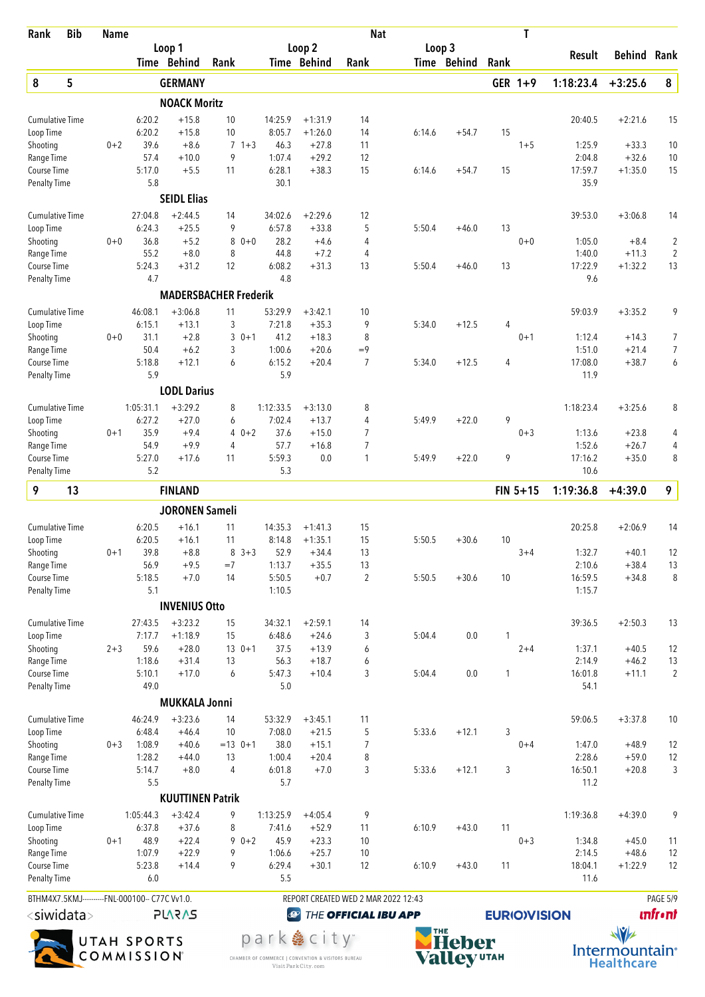| Rank                               | <b>Bib</b>                                     | <b>Name</b> |                  |                              |                  |         |                |                                     | <b>Nat</b>           |        |             |      | T                   |                  |                    |                                           |
|------------------------------------|------------------------------------------------|-------------|------------------|------------------------------|------------------|---------|----------------|-------------------------------------|----------------------|--------|-------------|------|---------------------|------------------|--------------------|-------------------------------------------|
|                                    |                                                |             |                  | Loop 1                       |                  |         |                | Loop 2                              |                      | Loop 3 |             |      |                     | Result           | <b>Behind Rank</b> |                                           |
|                                    |                                                |             |                  | Time Behind                  | Rank             |         |                | Time Behind                         | Rank                 |        | Time Behind | Rank |                     |                  |                    |                                           |
| 8                                  | 5                                              |             |                  | <b>GERMANY</b>               |                  |         |                |                                     |                      |        |             |      | GER 1+9             | 1:18:23.4        | $+3:25.6$          | 8                                         |
|                                    |                                                |             |                  | <b>NOACK Moritz</b>          |                  |         |                |                                     |                      |        |             |      |                     |                  |                    |                                           |
| <b>Cumulative Time</b>             |                                                |             | 6:20.2           | $+15.8$                      | 10               |         | 14:25.9        | $+1:31.9$                           | 14                   |        |             |      |                     | 20:40.5          | $+2:21.6$          | 15                                        |
| Loop Time                          |                                                |             | 6:20.2           | $+15.8$                      | 10               |         | 8:05.7         | $+1:26.0$                           | 14                   | 6:14.6 | $+54.7$     | 15   |                     |                  |                    |                                           |
| Shooting                           |                                                | $0 + 2$     | 39.6             | $+8.6$                       | $\overline{7}$   | $1 + 3$ | 46.3           | $+27.8$                             | 11                   |        |             |      | $1 + 5$             | 1:25.9           | $+33.3$            | 10                                        |
| Range Time                         |                                                |             | 57.4             | $+10.0$                      | 9                |         | 1:07.4         | $+29.2$                             | 12                   |        |             |      |                     | 2:04.8           | $+32.6$            | 10                                        |
| Course Time                        |                                                |             | 5:17.0<br>5.8    | $+5.5$                       | 11               |         | 6:28.1         | $+38.3$                             | 15                   | 6:14.6 | $+54.7$     | 15   |                     | 17:59.7<br>35.9  | $+1:35.0$          | 15                                        |
| <b>Penalty Time</b>                |                                                |             |                  |                              |                  |         | 30.1           |                                     |                      |        |             |      |                     |                  |                    |                                           |
|                                    |                                                |             |                  | <b>SEIDL Elias</b>           |                  |         |                |                                     |                      |        |             |      |                     |                  |                    |                                           |
| <b>Cumulative Time</b>             |                                                |             | 27:04.8          | $+2:44.5$                    | 14               |         | 34:02.6        | $+2:29.6$                           | 12                   |        |             |      |                     | 39:53.0          | $+3:06.8$          | 14                                        |
| Loop Time                          |                                                |             | 6:24.3<br>36.8   | $+25.5$<br>$+5.2$            | 9<br>8           | $0 + 0$ | 6:57.8<br>28.2 | $+33.8$                             | 5                    | 5:50.4 | $+46.0$     | 13   |                     |                  |                    |                                           |
| Shooting<br>Range Time             |                                                | $0 + 0$     | 55.2             | $+8.0$                       | 8                |         | 44.8           | $+4.6$<br>$+7.2$                    | 4<br>4               |        |             |      | $0 + 0$             | 1:05.0<br>1:40.0 | $+8.4$<br>$+11.3$  | $\overline{\mathbf{c}}$<br>$\overline{2}$ |
| Course Time                        |                                                |             | 5:24.3           | $+31.2$                      | 12               |         | 6:08.2         | $+31.3$                             | 13                   | 5:50.4 | $+46.0$     | 13   |                     | 17:22.9          | $+1:32.2$          | 13                                        |
| <b>Penalty Time</b>                |                                                |             | 4.7              |                              |                  |         | 4.8            |                                     |                      |        |             |      |                     | 9.6              |                    |                                           |
|                                    |                                                |             |                  | <b>MADERSBACHER Frederik</b> |                  |         |                |                                     |                      |        |             |      |                     |                  |                    |                                           |
| <b>Cumulative Time</b>             |                                                |             | 46:08.1          | $+3:06.8$                    | 11               |         | 53:29.9        | $+3:42.1$                           | 10                   |        |             |      |                     | 59:03.9          | $+3:35.2$          | 9                                         |
| Loop Time                          |                                                |             | 6:15.1           | $+13.1$                      | 3                |         | 7:21.8         | $+35.3$                             | 9                    | 5:34.0 | $+12.5$     | 4    |                     |                  |                    |                                           |
| Shooting                           |                                                | $0 + 0$     | 31.1             | $+2.8$                       | 3                | $0 + 1$ | 41.2           | $+18.3$                             | 8                    |        |             |      | $0 + 1$             | 1:12.4           | $+14.3$            | 7                                         |
| Range Time                         |                                                |             | 50.4             | $+6.2$                       | 3                |         | 1:00.6         | $+20.6$                             | $=9$                 |        |             |      |                     | 1:51.0           | $+21.4$            | 7                                         |
| Course Time                        |                                                |             | 5:18.8           | $+12.1$                      | 6                |         | 6:15.2         | $+20.4$                             | $\overline{7}$       | 5:34.0 | $+12.5$     | 4    |                     | 17:08.0          | $+38.7$            | 6                                         |
| <b>Penalty Time</b>                |                                                |             | 5.9              |                              |                  |         | 5.9            |                                     |                      |        |             |      |                     | 11.9             |                    |                                           |
|                                    |                                                |             |                  | <b>LODL Darius</b>           |                  |         |                |                                     |                      |        |             |      |                     |                  |                    |                                           |
| <b>Cumulative Time</b>             |                                                |             | 1:05:31.1        | $+3:29.2$                    | 8                |         | 1:12:33.5      | $+3:13.0$                           | 8                    |        |             |      |                     | 1:18:23.4        | $+3:25.6$          | 8                                         |
| Loop Time                          |                                                |             | 6:27.2           | $+27.0$                      | 6                |         | 7:02.4         | $+13.7$                             | 4                    | 5:49.9 | $+22.0$     | 9    |                     |                  |                    |                                           |
| Shooting                           |                                                | $0 + 1$     | 35.9             | $+9.4$                       | 4                | $0 + 2$ | 37.6           | $+15.0$                             | 7                    |        |             |      | $0 + 3$             | 1:13.6           | $+23.8$            | 4                                         |
| Range Time                         |                                                |             | 54.9             | $+9.9$                       | 4                |         | 57.7           | $+16.8$                             | 7                    |        |             |      |                     | 1:52.6           | $+26.7$            | 4                                         |
| Course Time<br><b>Penalty Time</b> |                                                |             | 5:27.0<br>5.2    | $+17.6$                      | 11               |         | 5:59.3<br>5.3  | 0.0                                 | 1                    | 5:49.9 | $+22.0$     | 9    |                     | 17:16.2<br>10.6  | $+35.0$            | 8                                         |
|                                    |                                                |             |                  |                              |                  |         |                |                                     |                      |        |             |      |                     |                  |                    |                                           |
| 9                                  | 13                                             |             |                  | <b>FINLAND</b>               |                  |         |                |                                     |                      |        |             |      | $FIN 5+15$          | 1:19:36.8        | $+4:39.0$          | 9                                         |
|                                    |                                                |             |                  | <b>JORONEN Sameli</b>        |                  |         |                |                                     |                      |        |             |      |                     |                  |                    |                                           |
| <b>Cumulative Time</b>             |                                                |             | 6:20.5           | $+16.1$                      | 11               |         | 14:35.3        | $+1:41.3$                           | 15                   |        |             |      |                     | 20:25.8          | $+2:06.9$          | 14                                        |
| Loop Time                          |                                                |             | 6:20.5           | $+16.1$                      | 11               |         | 8:14.8         | $+1:35.1$                           | 15                   | 5:50.5 | $+30.6$     | 10   |                     |                  |                    |                                           |
| Shooting<br>Range Time             |                                                | $0 + 1$     | 39.8<br>56.9     | $+8.8$<br>$+9.5$             | 8<br>$=7$        | $3 + 3$ | 52.9<br>1:13.7 | $+34.4$<br>$+35.5$                  | 13<br>13             |        |             |      | $3 + 4$             | 1:32.7<br>2:10.6 | $+40.1$<br>$+38.4$ | 12<br>13                                  |
| Course Time                        |                                                |             | 5:18.5           | $+7.0$                       | 14               |         | 5:50.5         | $+0.7$                              | $\overline{2}$       | 5:50.5 | $+30.6$     | 10   |                     | 16:59.5          | $+34.8$            | 8                                         |
| <b>Penalty Time</b>                |                                                |             | 5.1              |                              |                  |         | 1:10.5         |                                     |                      |        |             |      |                     | 1:15.7           |                    |                                           |
|                                    |                                                |             |                  | <b>INVENIUS Otto</b>         |                  |         |                |                                     |                      |        |             |      |                     |                  |                    |                                           |
| <b>Cumulative Time</b>             |                                                |             | 27:43.5          | $+3:23.2$                    | 15               |         | 34:32.1        | $+2:59.1$                           | 14                   |        |             |      |                     | 39:36.5          | $+2:50.3$          | 13                                        |
| Loop Time                          |                                                |             | 7:17.7           | $+1:18.9$                    | 15               |         | 6:48.6         | $+24.6$                             | 3                    | 5:04.4 | 0.0         | 1    |                     |                  |                    |                                           |
| Shooting                           |                                                | $2 + 3$     | 59.6             | $+28.0$                      | $130+1$          |         | 37.5           | $+13.9$                             | 6                    |        |             |      | $2 + 4$             | 1:37.1           | $+40.5$            | 12                                        |
| Range Time                         |                                                |             | 1:18.6           | $+31.4$                      | 13               |         | 56.3           | $+18.7$                             | 6                    |        |             |      |                     | 2:14.9           | $+46.2$            | 13                                        |
| Course Time                        |                                                |             | 5:10.1           | $+17.0$                      | 6                |         | 5:47.3         | $+10.4$                             | 3                    | 5:04.4 | 0.0         | 1    |                     | 16:01.8          | $+11.1$            | $\overline{2}$                            |
| <b>Penalty Time</b>                |                                                |             | 49.0             |                              |                  |         | 5.0            |                                     |                      |        |             |      |                     | 54.1             |                    |                                           |
|                                    |                                                |             |                  | <b>MUKKALA Jonni</b>         |                  |         |                |                                     |                      |        |             |      |                     |                  |                    |                                           |
| <b>Cumulative Time</b>             |                                                |             | 46:24.9          | $+3:23.6$                    | 14               |         | 53:32.9        | $+3:45.1$                           | 11                   |        |             |      |                     | 59:06.5          | $+3:37.8$          | 10                                        |
| Loop Time<br>Shooting              |                                                | $0 + 3$     | 6:48.4<br>1:08.9 | $+46.4$<br>$+40.6$           | 10<br>$= 13$ 0+1 |         | 7:08.0<br>38.0 | $+21.5$<br>$+15.1$                  | 5<br>7               | 5:33.6 | $+12.1$     | 3    | $0 + 4$             | 1:47.0           | $+48.9$            | 12                                        |
| Range Time                         |                                                |             | 1:28.2           | $+44.0$                      | 13               |         | 1:00.4         | $+20.4$                             | 8                    |        |             |      |                     | 2:28.6           | $+59.0$            | 12                                        |
| Course Time                        |                                                |             | 5:14.7           | $+8.0$                       | 4                |         | 6:01.8         | $+7.0$                              | 3                    | 5:33.6 | $+12.1$     | 3    |                     | 16:50.1          | $+20.8$            | 3                                         |
| <b>Penalty Time</b>                |                                                |             | 5.5              |                              |                  |         | 5.7            |                                     |                      |        |             |      |                     | 11.2             |                    |                                           |
|                                    |                                                |             |                  | <b>KUUTTINEN Patrik</b>      |                  |         |                |                                     |                      |        |             |      |                     |                  |                    |                                           |
| <b>Cumulative Time</b>             |                                                |             | 1:05:44.3        | $+3:42.4$                    | 9                |         | 1:13:25.9      | $+4:05.4$                           | 9                    |        |             |      |                     | 1:19:36.8        | $+4:39.0$          | 9                                         |
| Loop Time                          |                                                |             | 6:37.8           | $+37.6$                      | 8                |         | 7:41.6         | $+52.9$                             | 11                   | 6:10.9 | $+43.0$     | 11   |                     |                  |                    |                                           |
| Shooting                           |                                                | $0 + 1$     | 48.9             | $+22.4$                      | 9                | $0 + 2$ | 45.9           | $+23.3$                             | 10                   |        |             |      | $0 + 3$             | 1:34.8           | $+45.0$            | 11                                        |
| Range Time                         |                                                |             | 1:07.9           | $+22.9$                      | 9                |         | 1:06.6         | $+25.7$                             | 10                   |        |             |      |                     | 2:14.5           | $+48.6$            | 12                                        |
| Course Time                        |                                                |             | 5:23.8           | $+14.4$                      | 9                |         | 6:29.4         | $+30.1$                             | 12                   | 6:10.9 | $+43.0$     | 11   |                     | 18:04.1          | $+1:22.9$          | 12                                        |
| <b>Penalty Time</b>                |                                                |             | 6.0              |                              |                  |         | 5.5            |                                     |                      |        |             |      |                     | 11.6             |                    |                                           |
|                                    | BTHM4X7.5KMJ----------FNL-000100-- C77C Vv1.0. |             |                  |                              |                  |         |                | REPORT CREATED WED 2 MAR 2022 12:43 |                      |        |             |      |                     |                  |                    | PAGE 5/9                                  |
| <siwidata></siwidata>              |                                                |             |                  | <b>PLARAS</b>                |                  |         | $\bigcirc$     |                                     | THE OFFICIAL IBU APP |        |             |      | <b>EURIO)VISION</b> |                  |                    | <b>Infr</b> •nt                           |



park & city" CHAMBER OF COMMERCE | CONVENTION & VISITORS BUREAU<br>Visit Park City.com



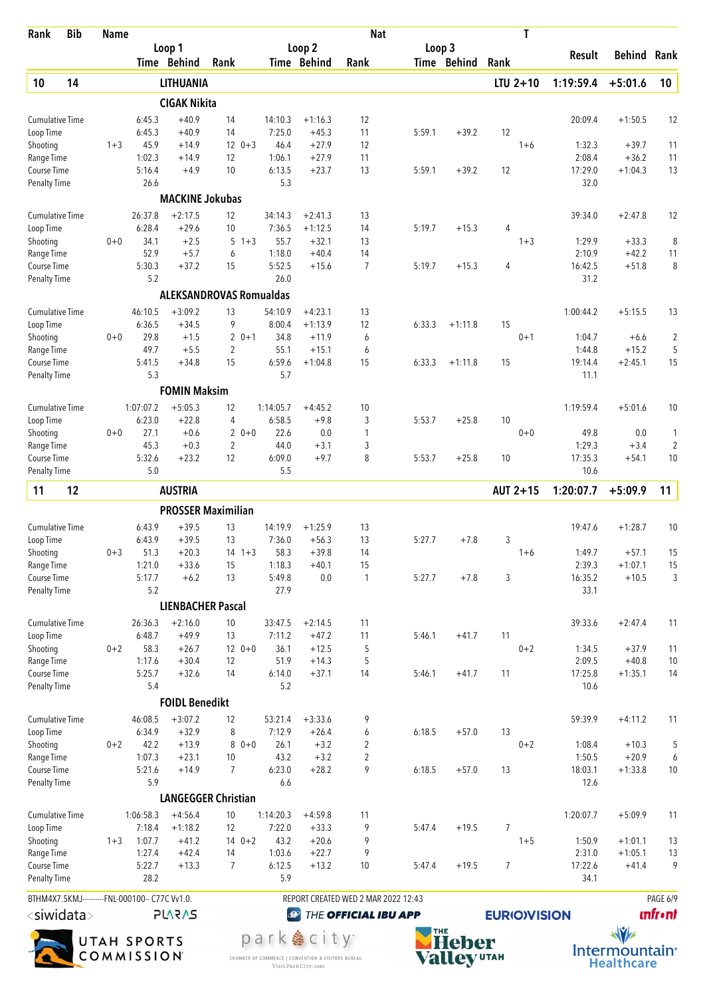| Rank                   | <b>Bib</b>                                     | <b>Name</b> |                   |                          |                                |                   |                      | <b>Nat</b>                          |        |             | T                   |                 |                      |                 |
|------------------------|------------------------------------------------|-------------|-------------------|--------------------------|--------------------------------|-------------------|----------------------|-------------------------------------|--------|-------------|---------------------|-----------------|----------------------|-----------------|
|                        |                                                |             |                   | Loop 1                   |                                |                   | Loop <sub>2</sub>    |                                     | Loop 3 |             |                     | Result          | Behind               | Rank            |
|                        |                                                |             |                   | Time Behind              | Rank                           |                   | Time Behind          | Rank                                |        | Time Behind | Rank                |                 |                      |                 |
| 10                     | 14                                             |             |                   | LITHUANIA                |                                |                   |                      |                                     |        |             | $LTU$ 2+10          | 1:19:59.4       | $+5:01.6$            | 10              |
|                        |                                                |             |                   | <b>CIGAK Nikita</b>      |                                |                   |                      |                                     |        |             |                     |                 |                      |                 |
| Cumulative Time        |                                                |             | 6:45.3            | $+40.9$                  | 14                             | 14:10.3           | $+1:16.3$            | 12                                  |        |             |                     | 20:09.4         | $+1:50.5$            | 12              |
| Loop Time<br>Shooting  |                                                | $1 + 3$     | 6:45.3<br>45.9    | $+40.9$<br>$+14.9$       | 14<br>$12 \t 0+3$              | 7:25.0<br>46.4    | $+45.3$<br>$+27.9$   | 11<br>12                            | 5:59.1 | $+39.2$     | 12<br>$1 + 6$       | 1:32.3          | $+39.7$              | 11              |
| Range Time             |                                                |             | 1:02.3            | $+14.9$                  | 12                             | 1:06.1            | $+27.9$              | 11                                  |        |             |                     | 2:08.4          | $+36.2$              | 11              |
| Course Time            |                                                |             | 5:16.4            | $+4.9$                   | 10                             | 6:13.5            | $+23.7$              | 13                                  | 5:59.1 | $+39.2$     | 12                  | 17:29.0         | $+1:04.3$            | 13              |
| <b>Penalty Time</b>    |                                                |             | 26.6              |                          |                                | 5.3               |                      |                                     |        |             |                     | 32.0            |                      |                 |
|                        |                                                |             |                   | <b>MACKINE Jokubas</b>   |                                |                   |                      |                                     |        |             |                     |                 |                      |                 |
| <b>Cumulative Time</b> |                                                |             | 26:37.8           | $+2:17.5$                | 12                             | 34:14.3           | $+2:41.3$            | 13                                  |        |             |                     | 39:34.0         | $+2:47.8$            | 12              |
| Loop Time              |                                                |             | 6:28.4            | $+29.6$                  | 10                             | 7:36.5            | $+1:12.5$            | 14                                  | 5:19.7 | $+15.3$     | 4                   |                 |                      |                 |
| Shooting               |                                                | $0 + 0$     | 34.1              | $+2.5$                   | 5<br>$1 + 3$                   | 55.7              | $+32.1$              | 13                                  |        |             | $1 + 3$             | 1:29.9          | $+33.3$              | 8               |
| Range Time             |                                                |             | 52.9              | $+5.7$                   | 6                              | 1:18.0            | $+40.4$              | 14                                  |        |             |                     | 2:10.9          | $+42.2$              | 11              |
| Course Time            |                                                |             | 5:30.3<br>5.2     | $+37.2$                  | 15                             | 5:52.5<br>26.0    | $+15.6$              | $\overline{7}$                      | 5:19.7 | $+15.3$     | 4                   | 16:42.5<br>31.2 | $+51.8$              | 8               |
| <b>Penalty Time</b>    |                                                |             |                   |                          |                                |                   |                      |                                     |        |             |                     |                 |                      |                 |
|                        |                                                |             |                   |                          | <b>ALEKSANDROVAS Romualdas</b> |                   |                      |                                     |        |             |                     |                 |                      |                 |
| <b>Cumulative Time</b> |                                                |             | 46:10.5           | $+3:09.2$                | 13                             | 54:10.9           | $+4:23.1$            | 13                                  |        |             |                     | 1:00:44.2       | $+5:15.5$            | 13              |
| Loop Time<br>Shooting  |                                                | $0 + 0$     | 6:36.5<br>29.8    | $+34.5$<br>$+1.5$        | 9<br>$20+1$                    | 8:00.4<br>34.8    | $+1:13.9$<br>$+11.9$ | 12<br>6                             | 6:33.3 | $+1:11.8$   | 15<br>$0 + 1$       | 1:04.7          |                      | $\overline{2}$  |
| Range Time             |                                                |             | 49.7              | $+5.5$                   | $\overline{2}$                 | 55.1              | $+15.1$              | 6                                   |        |             |                     | 1:44.8          | $+6.6$<br>$+15.2$    | 5               |
| Course Time            |                                                |             | 5:41.5            | $+34.8$                  | 15                             | 6:59.6            | $+1:04.8$            | 15                                  | 6:33.3 | $+1:11.8$   | 15                  | 19:14.4         | $+2:45.1$            | 15              |
| <b>Penalty Time</b>    |                                                |             | 5.3               |                          |                                | 5.7               |                      |                                     |        |             |                     | 11.1            |                      |                 |
|                        |                                                |             |                   | <b>FOMIN Maksim</b>      |                                |                   |                      |                                     |        |             |                     |                 |                      |                 |
| <b>Cumulative Time</b> |                                                |             | 1:07:07.2         | $+5:05.3$                | 12                             | 1:14:05.7         | $+4:45.2$            | 10                                  |        |             |                     | 1:19:59.4       | $+5:01.6$            | 10              |
| Loop Time              |                                                |             | 6:23.0            | $+22.8$                  | 4                              | 6:58.5            | $+9.8$               | 3                                   | 5:53.7 | $+25.8$     | 10                  |                 |                      |                 |
| Shooting               |                                                | $0 + 0$     | 27.1              | $+0.6$                   | $20+0$                         | 22.6              | 0.0                  | 1                                   |        |             | $0 + 0$             | 49.8            | 0.0                  | 1               |
| Range Time             |                                                |             | 45.3              | $+0.3$                   | $\overline{2}$                 | 44.0              | $+3.1$               | 3                                   |        |             |                     | 1:29.3          | $+3.4$               | $\overline{c}$  |
| Course Time            |                                                |             | 5:32.6            | $+23.2$                  | 12                             | 6:09.0            | $+9.7$               | 8                                   | 5:53.7 | $+25.8$     | 10                  | 17:35.3         | $+54.1$              | 10              |
| <b>Penalty Time</b>    |                                                |             | 5.0               |                          |                                | 5.5               |                      |                                     |        |             |                     | 10.6            |                      |                 |
| 11                     | 12                                             |             |                   | <b>AUSTRIA</b>           |                                |                   |                      |                                     |        |             | AUT 2+15            | 1:20:07.7       | $+5:09.9$            | 11              |
|                        |                                                |             |                   |                          | <b>PROSSER Maximilian</b>      |                   |                      |                                     |        |             |                     |                 |                      |                 |
| <b>Cumulative Time</b> |                                                |             | 6:43.9            | $+39.5$                  | 13                             | 14:19.9           | $+1:25.9$            | 13                                  |        |             |                     | 19:47.6         | $+1:28.7$            | 10              |
| Loop Time              |                                                |             | 6:43.9            | $+39.5$                  | 13                             | 7:36.0            | $+56.3$              | 13                                  | 5:27.7 | $+7.8$      | 3                   | 1:49.7          |                      |                 |
| Shooting<br>Range Time |                                                | $0 + 3$     | 51.3<br>1:21.0    | $+20.3$<br>$+33.6$       | $14 + 3$<br>15                 | 58.3<br>1:18.3    | $+39.8$<br>$+40.1$   | 14<br>15                            |        |             | $1 + 6$             | 2:39.3          | $+57.1$<br>$+1:07.1$ | 15<br>15        |
| Course Time            |                                                |             | 5:17.7            | $+6.2$                   | 13                             | 5:49.8            | $0.0\,$              | 1                                   | 5:27.7 | $+7.8$      | 3                   | 16:35.2         | $+10.5$              | 3               |
| <b>Penalty Time</b>    |                                                |             | 5.2               |                          |                                | 27.9              |                      |                                     |        |             |                     | 33.1            |                      |                 |
|                        |                                                |             |                   | <b>LIENBACHER Pascal</b> |                                |                   |                      |                                     |        |             |                     |                 |                      |                 |
| <b>Cumulative Time</b> |                                                |             | 26:36.3           | $+2:16.0$                | 10                             | 33:47.5           | $+2:14.5$            | 11                                  |        |             |                     | 39:33.6         | $+2:47.4$            | 11              |
| Loop Time              |                                                |             | 6:48.7            | $+49.9$                  | 13                             | 7:11.2            | $+47.2$              | 11                                  | 5:46.1 | $+41.7$     | 11                  |                 |                      |                 |
| Shooting               |                                                | $0 + 2$     | 58.3              | $+26.7$                  | $120+0$                        | 36.1              | $+12.5$              | 5                                   |        |             | $0 + 2$             | 1:34.5          | $+37.9$              | 11              |
| Range Time             |                                                |             | 1:17.6            | $+30.4$                  | 12                             | 51.9              | $+14.3$              | 5                                   |        |             |                     | 2:09.5          | $+40.8$              | $10$            |
| Course Time            |                                                |             | 5:25.7            | $+32.6$                  | 14                             | 6:14.0            | $+37.1$              | 14                                  | 5:46.1 | $+41.7$     | 11                  | 17:25.8         | $+1:35.1$            | 14              |
| <b>Penalty Time</b>    |                                                |             | 5.4               | <b>FOIDL Benedikt</b>    |                                | 5.2               |                      |                                     |        |             |                     | 10.6            |                      |                 |
|                        |                                                |             |                   |                          |                                |                   |                      |                                     |        |             |                     |                 |                      |                 |
| <b>Cumulative Time</b> |                                                |             | 46:08.5<br>6:34.9 | $+3:07.2$<br>$+32.9$     | 12<br>8                        | 53:21.4<br>7:12.9 | $+3:33.6$<br>$+26.4$ | 9<br>6                              | 6:18.5 | $+57.0$     | 13                  | 59:39.9         | $+4:11.2$            | 11              |
| Loop Time<br>Shooting  |                                                | $0 + 2$     | 42.2              | $+13.9$                  | 8<br>$0 + 0$                   | 26.1              | $+3.2$               | 2                                   |        |             | $0 + 2$             | 1:08.4          | $+10.3$              | 5               |
| Range Time             |                                                |             | 1:07.3            | $+23.1$                  | 10                             | 43.2              | $+3.2$               | $\overline{2}$                      |        |             |                     | 1:50.5          | $+20.9$              | 6               |
| Course Time            |                                                |             | 5:21.6            | $+14.9$                  | $\overline{7}$                 | 6:23.0            | $+28.2$              | 9                                   | 6:18.5 | $+57.0$     | 13                  | 18:03.1         | $+1:33.8$            | 10              |
| <b>Penalty Time</b>    |                                                |             | 5.9               |                          |                                | 6.6               |                      |                                     |        |             |                     | 12.6            |                      |                 |
|                        |                                                |             |                   |                          | <b>LANGEGGER Christian</b>     |                   |                      |                                     |        |             |                     |                 |                      |                 |
| <b>Cumulative Time</b> |                                                |             | 1:06:58.3         | $+4:56.4$                | 10                             | 1:14:20.3         | $+4:59.8$            | 11                                  |        |             |                     | 1:20:07.7       | $+5:09.9$            | 11              |
| Loop Time              |                                                |             | 7:18.4            | $+1:18.2$                | 12                             | 7:22.0            | $+33.3$              | 9                                   | 5:47.4 | $+19.5$     | $\overline{7}$      |                 |                      |                 |
| Shooting               |                                                | $1 + 3$     | 1:07.7            | $+41.2$                  | $140+2$                        | 43.2              | $+20.6$              | 9                                   |        |             | $1 + 5$             | 1:50.9          | $+1:01.1$            | 13              |
| Range Time             |                                                |             | 1:27.4            | $+42.4$                  | 14                             | 1:03.6            | $+22.7$              | 9                                   |        |             |                     | 2:31.0          | $+1:05.1$            | 13              |
| Course Time            |                                                |             | 5:22.7<br>28.2    | $+13.3$                  | 7                              | 6:12.5<br>5.9     | $+13.2$              | 10                                  | 5:47.4 | $+19.5$     | 7                   | 17:22.6<br>34.1 | $+41.4$              | 9               |
| <b>Penalty Time</b>    |                                                |             |                   |                          |                                |                   |                      |                                     |        |             |                     |                 |                      |                 |
|                        | BTHM4X7.5KMJ----------FNL-000100-- C77C Vv1.0. |             |                   |                          |                                |                   |                      | REPORT CREATED WED 2 MAR 2022 12:43 |        |             |                     |                 |                      | PAGE 6/9        |
|                        | $<$ siwidata $>$                               |             |                   | <b>PLARAS</b>            |                                | $\bigcirc$        |                      | THE OFFICIAL IBU APP                |        |             | <b>EURIO)VISION</b> |                 |                      | <b>unfr</b> •nt |



park & city" CHAMBER OF COMMERCE | CONVENTION & VISITORS BUREAU<br>Visit Park City.com



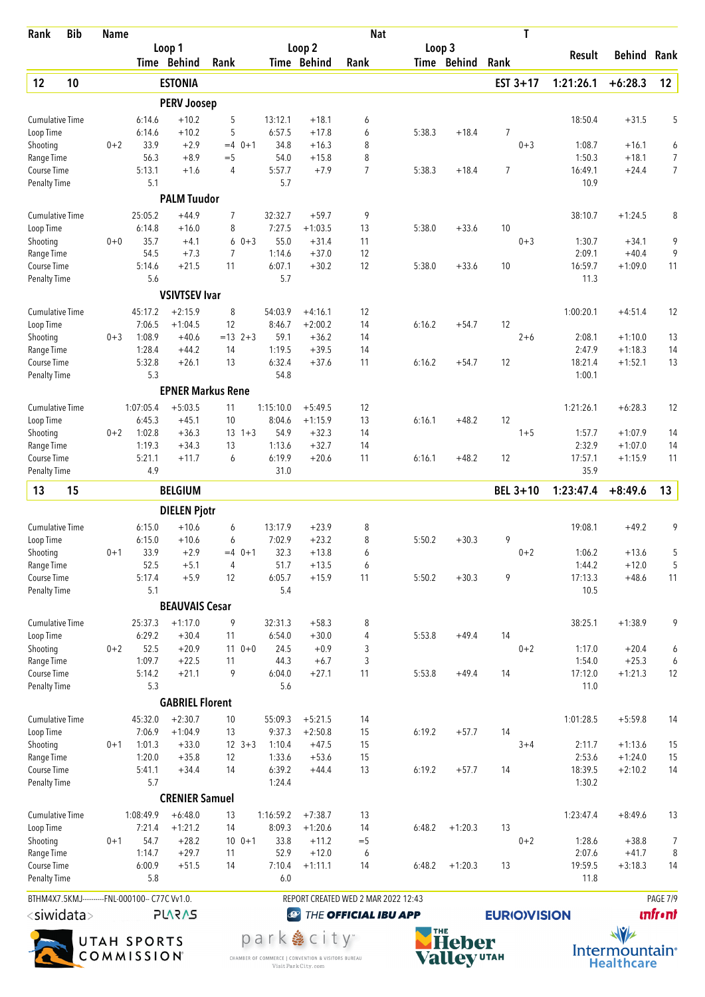| Rank                               | <b>Bib</b> | <b>Name</b>                                                     |                     |                          |                         |                           |                                     | <b>Nat</b>           |        |              | T                  |                  |                        |                     |
|------------------------------------|------------|-----------------------------------------------------------------|---------------------|--------------------------|-------------------------|---------------------------|-------------------------------------|----------------------|--------|--------------|--------------------|------------------|------------------------|---------------------|
|                                    |            |                                                                 |                     | Loop 1<br>Time Behind    | Rank                    |                           | Loop <sub>2</sub><br>Time Behind    | Rank                 | Loop 3 | Time Behind  | Rank               | Result           | <b>Behind Rank</b>     |                     |
| 12                                 | 10         |                                                                 |                     | <b>ESTONIA</b>           |                         |                           |                                     |                      |        |              | EST $3+17$         | 1:21:26.1        | $+6:28.3$              | 12                  |
|                                    |            |                                                                 |                     | <b>PERV Joosep</b>       |                         |                           |                                     |                      |        |              |                    |                  |                        |                     |
| <b>Cumulative Time</b>             |            |                                                                 | 6:14.6              | $+10.2$                  | 5                       | 13:12.1                   | $+18.1$                             | 6                    |        |              |                    | 18:50.4          | $+31.5$                | 5                   |
| Loop Time                          |            |                                                                 | 6:14.6              | $+10.2$                  | 5                       | 6:57.5                    | $+17.8$                             | 6                    | 5:38.3 | $+18.4$      | 7                  |                  |                        |                     |
| Shooting                           |            | $0 + 2$                                                         | 33.9                | $+2.9$                   | $=4$ 0+1                | 34.8                      | $+16.3$                             | 8                    |        |              | $0 + 3$            | 1:08.7           | $+16.1$                | 6                   |
| Range Time                         |            |                                                                 | 56.3<br>5:13.1      | $+8.9$                   | $=$ 5<br>$\overline{4}$ | 54.0<br>5:57.7            | $+15.8$                             | 8<br>$\overline{7}$  |        |              | $\overline{7}$     | 1:50.3           | $+18.1$                | 7<br>$\overline{7}$ |
| Course Time<br><b>Penalty Time</b> |            |                                                                 | 5.1                 | $+1.6$                   |                         | 5.7                       | $+7.9$                              |                      | 5:38.3 | $+18.4$      |                    | 16:49.1<br>10.9  | $+24.4$                |                     |
|                                    |            |                                                                 |                     | <b>PALM Tuudor</b>       |                         |                           |                                     |                      |        |              |                    |                  |                        |                     |
| <b>Cumulative Time</b>             |            |                                                                 | 25:05.2             | $+44.9$                  | 7                       | 32:32.7                   | $+59.7$                             | 9                    |        |              |                    | 38:10.7          | $+1:24.5$              | 8                   |
| Loop Time                          |            |                                                                 | 6:14.8              | $+16.0$                  | 8                       | 7:27.5                    | $+1:03.5$                           | 13                   | 5:38.0 | $+33.6$      | 10                 |                  |                        |                     |
| Shooting<br>Range Time             |            | $0 + 0$                                                         | 35.7<br>54.5        | $+4.1$<br>$+7.3$         | 6<br>7                  | $0 + 3$<br>55.0<br>1:14.6 | $+31.4$<br>$+37.0$                  | 11<br>12             |        |              | $0 + 3$            | 1:30.7<br>2:09.1 | $+34.1$<br>$+40.4$     | 9<br>9              |
| Course Time                        |            |                                                                 | 5:14.6              | $+21.5$                  | 11                      | 6:07.1                    | $+30.2$                             | 12                   | 5:38.0 | $+33.6$      | 10                 | 16:59.7          | $+1:09.0$              | 11                  |
| <b>Penalty Time</b>                |            |                                                                 | 5.6                 |                          |                         | 5.7                       |                                     |                      |        |              |                    | 11.3             |                        |                     |
|                                    |            |                                                                 |                     | <b>VSIVTSEV Ivar</b>     |                         |                           |                                     |                      |        |              |                    |                  |                        |                     |
| <b>Cumulative Time</b>             |            |                                                                 | 45:17.2             | $+2:15.9$                | 8                       | 54:03.9                   | $+4:16.1$                           | 12                   |        |              |                    | 1:00:20.1        | $+4:51.4$              | 12                  |
| Loop Time                          |            |                                                                 | 7:06.5<br>1:08.9    | $+1:04.5$                | 12<br>$= 13$ 2+3        | 8:46.7<br>59.1            | $+2:00.2$                           | 14<br>14             | 6:16.2 | $+54.7$      | 12<br>$2 + 6$      |                  |                        |                     |
| Shooting<br>Range Time             |            | $0 + 3$                                                         | 1:28.4              | $+40.6$<br>$+44.2$       | 14                      | 1:19.5                    | $+36.2$<br>$+39.5$                  | 14                   |        |              |                    | 2:08.1<br>2:47.9 | $+1:10.0$<br>$+1:18.3$ | 13<br>14            |
| Course Time                        |            |                                                                 | 5:32.8              | $+26.1$                  | 13                      | 6:32.4                    | $+37.6$                             | 11                   | 6:16.2 | $+54.7$      | 12                 | 18:21.4          | $+1:52.1$              | 13                  |
| <b>Penalty Time</b>                |            |                                                                 | 5.3                 |                          |                         | 54.8                      |                                     |                      |        |              |                    | 1:00.1           |                        |                     |
|                                    |            |                                                                 |                     | <b>EPNER Markus Rene</b> |                         |                           |                                     |                      |        |              |                    |                  |                        |                     |
| <b>Cumulative Time</b>             |            |                                                                 | 1:07:05.4           | $+5:03.5$                | 11                      | 1:15:10.0                 | $+5:49.5$                           | 12                   |        |              |                    | 1:21:26.1        | $+6:28.3$              | 12                  |
| Loop Time<br>Shooting              |            | $0 + 2$                                                         | 6:45.3<br>1:02.8    | $+45.1$<br>$+36.3$       | 10<br>$13 + 3$          | 8:04.6<br>54.9            | $+1:15.9$<br>$+32.3$                | 13<br>14             | 6:16.1 | $+48.2$      | 12<br>$1 + 5$      | 1:57.7           | $+1:07.9$              | 14                  |
| Range Time                         |            |                                                                 | 1:19.3              | $+34.3$                  | 13                      | 1:13.6                    | $+32.7$                             | 14                   |        |              |                    | 2:32.9           | $+1:07.0$              | 14                  |
| Course Time                        |            |                                                                 | 5:21.1              | $+11.7$                  | 6                       | 6:19.9                    | $+20.6$                             | 11                   | 6:16.1 | $+48.2$      | 12                 | 17:57.1          | $+1:15.9$              | 11                  |
| <b>Penalty Time</b>                |            |                                                                 | 4.9                 |                          |                         | 31.0                      |                                     |                      |        |              |                    | 35.9             |                        |                     |
| 13                                 | 15         |                                                                 |                     | <b>BELGIUM</b>           |                         |                           |                                     |                      |        |              | <b>BEL 3+10</b>    | 1:23:47.4        | $+8:49.6$              | 13                  |
|                                    |            |                                                                 |                     | <b>DIELEN Pjotr</b>      |                         |                           |                                     |                      |        |              |                    |                  |                        |                     |
| <b>Cumulative Time</b>             |            |                                                                 | 6:15.0              | $+10.6$                  | 6                       | 13:17.9                   | $+23.9$                             | 8                    |        |              |                    | 19:08.1          | $+49.2$                | 9                   |
| Loop Time<br>Shooting              |            | $0 + 1$                                                         | 6:15.0<br>33.9      | $+10.6$<br>$+2.9$        | 6<br>$=4$ 0+1           | 7:02.9<br>32.3            | $+23.2$<br>$+13.8$                  | 8<br>6               | 5:50.2 | $+30.3$      | 9<br>$0 + 2$       | 1:06.2           | $+13.6$                | 5                   |
| Range Time                         |            |                                                                 | 52.5                | $+5.1$                   | 4                       | 51.7                      | $+13.5$                             | 6                    |        |              |                    | 1:44.2           | $+12.0$                | 5                   |
| Course Time                        |            |                                                                 | 5:17.4              | $+5.9$                   | 12                      | 6:05.7                    | $+15.9$                             | 11                   | 5:50.2 | $+30.3$      | 9                  | 17:13.3          | $+48.6$                | 11                  |
| Penalty Time                       |            |                                                                 | 5.1                 |                          |                         | 5.4                       |                                     |                      |        |              |                    | 10.5             |                        |                     |
|                                    |            |                                                                 |                     | <b>BEAUVAIS Cesar</b>    |                         |                           |                                     |                      |        |              |                    |                  |                        |                     |
| <b>Cumulative Time</b>             |            |                                                                 | 25:37.3             | $+1:17.0$                | 9                       | 32:31.3                   | $+58.3$                             | 8                    |        |              |                    | 38:25.1          | $+1:38.9$              | 9                   |
| Loop Time<br>Shooting              |            | $0 + 2$                                                         | 6:29.2<br>52.5      | $+30.4$<br>$+20.9$       | 11<br>$110+0$           | 6:54.0<br>24.5            | $+30.0$<br>$+0.9$                   | 4<br>3               | 5:53.8 | $+49.4$      | 14<br>$0 + 2$      | 1:17.0           | $+20.4$                | 6                   |
| Range Time                         |            |                                                                 | 1:09.7              | $+22.5$                  | 11                      | 44.3                      | $+6.7$                              | 3                    |        |              |                    | 1:54.0           | $+25.3$                | 6                   |
| Course Time                        |            |                                                                 | 5:14.2              | $+21.1$                  | 9                       | 6:04.0                    | $+27.1$                             | 11                   | 5:53.8 | $+49.4$      | 14                 | 17:12.0          | $+1:21.3$              | 12                  |
| <b>Penalty Time</b>                |            |                                                                 | 5.3                 |                          |                         | 5.6                       |                                     |                      |        |              |                    | 11.0             |                        |                     |
|                                    |            |                                                                 |                     | <b>GABRIEL Florent</b>   |                         |                           |                                     |                      |        |              |                    |                  |                        |                     |
| <b>Cumulative Time</b>             |            |                                                                 | 45:32.0             | $+2:30.7$                | 10                      | 55:09.3                   | $+5:21.5$                           | 14                   |        |              |                    | 1:01:28.5        | $+5:59.8$              | 14                  |
| Loop Time                          |            |                                                                 | 7:06.9<br>1:01.3    | $+1:04.9$                | 13                      | 9:37.3<br>1:10.4          | $+2:50.8$<br>$+47.5$                | 15                   | 6:19.2 | $+57.7$      | 14                 |                  |                        |                     |
| Shooting<br>Range Time             |            | $0 + 1$                                                         | 1:20.0              | $+33.0$<br>$+35.8$       | $12 \t3+3$<br>12        | 1:33.6                    | $+53.6$                             | 15<br>15             |        |              | $3 + 4$            | 2:11.7<br>2:53.6 | $+1:13.6$<br>$+1:24.0$ | 15<br>15            |
| Course Time                        |            |                                                                 | 5:41.1              | $+34.4$                  | 14                      | 6:39.2                    | $+44.4$                             | 13                   | 6:19.2 | $+57.7$      | 14                 | 18:39.5          | $+2:10.2$              | 14                  |
| <b>Penalty Time</b>                |            |                                                                 | 5.7                 |                          |                         | 1:24.4                    |                                     |                      |        |              |                    | 1:30.2           |                        |                     |
|                                    |            |                                                                 |                     | <b>CRENIER Samuel</b>    |                         |                           |                                     |                      |        |              |                    |                  |                        |                     |
| <b>Cumulative Time</b>             |            |                                                                 | 1:08:49.9<br>7:21.4 | $+6:48.0$<br>$+1:21.2$   | 13<br>14                | 1:16:59.2<br>8:09.3       | $+7:38.7$                           | 13<br>14             | 6:48.2 | $+1:20.3$    | 13                 | 1:23:47.4        | $+8:49.6$              | 13                  |
| Loop Time<br>Shooting              |            | $0 + 1$                                                         | 54.7                | $+28.2$                  | $100 + 1$               | 33.8                      | $+1:20.6$<br>$+11.2$                | $=$ 5                |        |              | $0 + 2$            | 1:28.6           | $+38.8$                | 7                   |
| Range Time                         |            |                                                                 | 1:14.7              | $+29.7$                  | 11                      | 52.9                      | $+12.0$                             | 6                    |        |              |                    | 2:07.6           | $+41.7$                | 8                   |
| Course Time                        |            |                                                                 | 6:00.9<br>5.8       | $+51.5$                  | 14                      | 7:10.4<br>6.0             | $+1:11.1$                           | 14                   | 6:48.2 | $+1:20.3$    | 13                 | 19:59.5<br>11.8  | $+3:18.3$              | 14                  |
| <b>Penalty Time</b>                |            |                                                                 |                     |                          |                         |                           |                                     |                      |        |              |                    |                  |                        | PAGE 7/9            |
|                                    |            | BTHM4X7.5KMJ----------FNL-000100-- C77C Vv1.0.<br><b>PLARAS</b> |                     |                          |                         | $\bigcirc$                | REPORT CREATED WED 2 MAR 2022 12:43 |                      |        |              |                    | <b>unfront</b>   |                        |                     |
| <siwidata></siwidata>              |            |                                                                 |                     |                          |                         |                           |                                     | THE OFFICIAL IBU APP |        |              | <b>EURIOVISION</b> |                  |                        |                     |
|                                    |            |                                                                 | <b>UTAH SPORTS</b>  |                          |                         |                           | park  city <sup>-</sup>             |                      |        | <b>Heher</b> |                    |                  | $\sqrt{v}$             |                     |



CHAMBER OF COMMERCE | CONVENTION & VISITORS BUREAU<br>Visit Park City.com



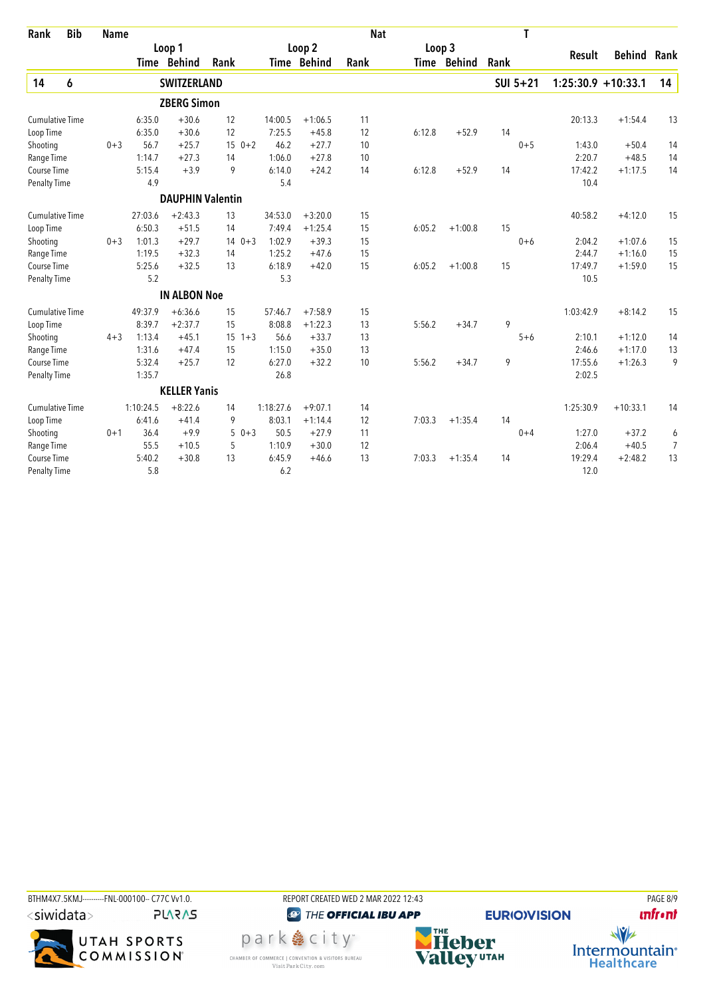| <b>Bib</b><br>Rank     | <b>Name</b> |           |                         |               |           |             | <b>Nat</b> |        |             |      | T        |                       |               |      |
|------------------------|-------------|-----------|-------------------------|---------------|-----------|-------------|------------|--------|-------------|------|----------|-----------------------|---------------|------|
|                        |             |           | Loop 1                  |               |           | Loop 2      |            | Loop 3 |             |      |          |                       |               |      |
|                        |             |           | Time Behind             | Rank          |           | Time Behind | Rank       |        | Time Behind | Rank |          | Result                | <b>Behind</b> | Rank |
| 14<br>6                |             |           | <b>SWITZERLAND</b>      |               |           |             |            |        |             |      | SUI 5+21 | $1:25:30.9 + 10:33.1$ |               | 14   |
|                        |             |           | <b>ZBERG Simon</b>      |               |           |             |            |        |             |      |          |                       |               |      |
| <b>Cumulative Time</b> |             | 6:35.0    | $+30.6$                 | 12            | 14:00.5   | $+1:06.5$   | 11         |        |             |      |          | 20:13.3               | $+1:54.4$     | 13   |
| Loop Time              |             | 6:35.0    | $+30.6$                 | 12            | 7:25.5    | $+45.8$     | 12         | 6:12.8 | $+52.9$     | 14   |          |                       |               |      |
| Shooting               | $0 + 3$     | 56.7      | $+25.7$                 | $150+2$       | 46.2      | $+27.7$     | 10         |        |             |      | $0 + 5$  | 1:43.0                | $+50.4$       | 14   |
| Range Time             |             | 1:14.7    | $+27.3$                 | 14            | 1:06.0    | $+27.8$     | 10         |        |             |      |          | 2:20.7                | $+48.5$       | 14   |
| Course Time            |             | 5:15.4    | $+3.9$                  | 9             | 6:14.0    | $+24.2$     | 14         | 6:12.8 | $+52.9$     | 14   |          | 17:42.2               | $+1:17.5$     | 14   |
| <b>Penalty Time</b>    |             | 4.9       |                         |               | 5.4       |             |            |        |             |      |          | 10.4                  |               |      |
|                        |             |           | <b>DAUPHIN Valentin</b> |               |           |             |            |        |             |      |          |                       |               |      |
| <b>Cumulative Time</b> |             | 27:03.6   | $+2:43.3$               | 13            | 34:53.0   | $+3:20.0$   | 15         |        |             |      |          | 40:58.2               | $+4:12.0$     | 15   |
| Loop Time              |             | 6:50.3    | $+51.5$                 | 14            | 7:49.4    | $+1:25.4$   | 15         | 6:05.2 | $+1:00.8$   | 15   |          |                       |               |      |
| Shooting               | $0 + 3$     | 1:01.3    | $+29.7$                 | $0 + 3$<br>14 | 1:02.9    | $+39.3$     | 15         |        |             |      | $0 + 6$  | 2:04.2                | $+1:07.6$     | 15   |
| Range Time             |             | 1:19.5    | $+32.3$                 | 14            | 1:25.2    | $+47.6$     | 15         |        |             |      |          | 2:44.7                | $+1:16.0$     | 15   |
| Course Time            |             | 5:25.6    | $+32.5$                 | 13            | 6:18.9    | $+42.0$     | 15         | 6:05.2 | $+1:00.8$   | 15   |          | 17:49.7               | $+1:59.0$     | 15   |
| <b>Penalty Time</b>    |             | 5.2       |                         |               | 5.3       |             |            |        |             |      |          | 10.5                  |               |      |
|                        |             |           | <b>IN ALBON Noe</b>     |               |           |             |            |        |             |      |          |                       |               |      |
| <b>Cumulative Time</b> |             | 49:37.9   | $+6:36.6$               | 15            | 57:46.7   | $+7:58.9$   | 15         |        |             |      |          | 1:03:42.9             | $+8:14.2$     | 15   |
| Loop Time              |             | 8:39.7    | $+2:37.7$               | 15            | 8:08.8    | $+1:22.3$   | 13         | 5:56.2 | $+34.7$     | 9    |          |                       |               |      |
| Shooting               | $4 + 3$     | 1:13.4    | $+45.1$                 | 15<br>$1 + 3$ | 56.6      | $+33.7$     | 13         |        |             |      | $5 + 6$  | 2:10.1                | $+1:12.0$     | 14   |
| Range Time             |             | 1:31.6    | $+47.4$                 | 15            | 1:15.0    | $+35.0$     | 13         |        |             |      |          | 2:46.6                | $+1:17.0$     | 13   |
| Course Time            |             | 5:32.4    | $+25.7$                 | 12            | 6:27.0    | $+32.2$     | 10         | 5:56.2 | $+34.7$     | 9    |          | 17:55.6               | $+1:26.3$     | 9    |
| <b>Penalty Time</b>    |             | 1:35.7    |                         |               | 26.8      |             |            |        |             |      |          | 2:02.5                |               |      |
|                        |             |           | <b>KELLER Yanis</b>     |               |           |             |            |        |             |      |          |                       |               |      |
| <b>Cumulative Time</b> |             | 1:10:24.5 | $+8:22.6$               | 14            | 1:18:27.6 | $+9:07.1$   | 14         |        |             |      |          | 1:25:30.9             | $+10:33.1$    | 14   |
| Loop Time              |             | 6:41.6    | $+41.4$                 | 9             | 8:03.1    | $+1:14.4$   | 12         | 7:03.3 | $+1:35.4$   | 14   |          |                       |               |      |
| Shooting               | $0 + 1$     | 36.4      | $+9.9$                  | 5<br>$0 + 3$  | 50.5      | $+27.9$     | 11         |        |             |      | $0 + 4$  | 1:27.0                | $+37.2$       | 6    |
| Range Time             |             | 55.5      | $+10.5$                 | 5             | 1:10.9    | $+30.0$     | 12         |        |             |      |          | 2:06.4                | $+40.5$       | 7    |
| Course Time            |             | 5:40.2    | $+30.8$                 | 13            | 6:45.9    | $+46.6$     | 13         | 7:03.3 | $+1:35.4$   | 14   |          | 19:29.4               | $+2:48.2$     | 13   |
| <b>Penalty Time</b>    |             | 5.8       |                         |               | 6.2       |             |            |        |             |      |          | 12.0                  |               |      |

BTHM4X7.5KMJ---------FNL-000100-- C77C Vv1.0. REPORT CREATED WED 2 MAR 2022 12:43 PAGE 8/9 **<sup><sup>3</sup>** THE OFFICIAL IBU APP</sup> **unfront PLARAS EURIO)VISION NHE**<br>Valley<sup>utAH</sup>  $\frac{1}{\sqrt{2}}$ park e city<sup>®</sup> Intermountain<sup>®</sup><br>Healthcare CHAMBER OF COMMERCE | CONVENTION & VISITORS BUREAU<br>Visit Park City.com